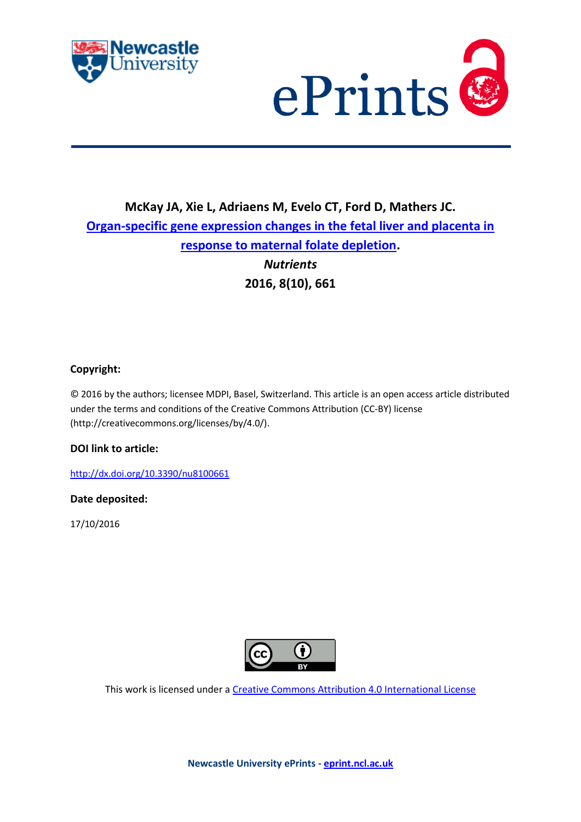



# **McKay JA, Xie L, Adriaens M, Evelo CT, Ford D, Mathers JC. [Organ-specific gene expression changes in the fetal liver and placenta in](javascript:ViewPublication(228811);)  [response to maternal folate depletion.](javascript:ViewPublication(228811);)**

*Nutrients* **2016, 8(10), 661**

# **Copyright:**

© 2016 by the authors; licensee MDPI, Basel, Switzerland. This article is an open access article distributed under the terms and conditions of the Creative Commons Attribution (CC-BY) license (http://creativecommons.org/licenses/by/4.0/).

# **DOI link to article:**

<http://dx.doi.org/10.3390/nu8100661>

# **Date deposited:**

17/10/2016



This work is licensed under a [Creative Commons Attribution 4.0 International License](http://creativecommons.org/licenses/by/4.0/)

**Newcastle University ePrints - [eprint.ncl.ac.uk](http://eprint.ncl.ac.uk/)**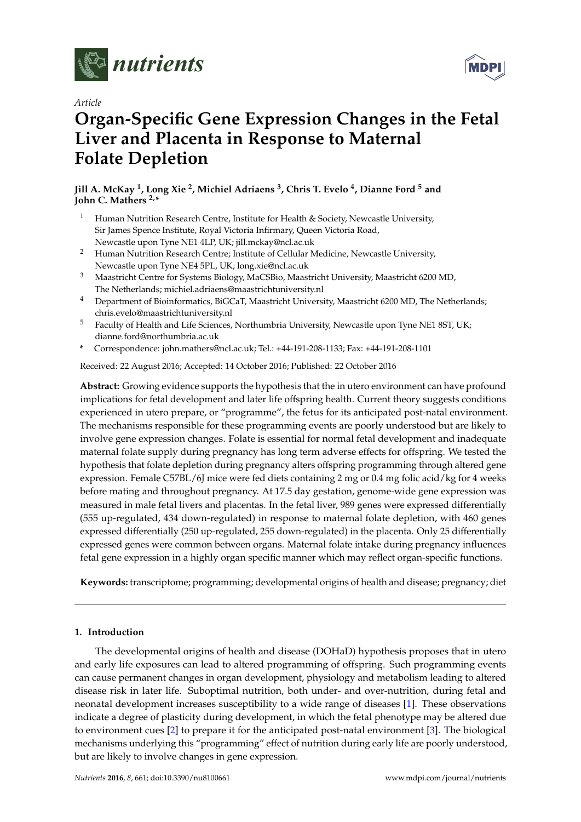



**MDPI** 

# **Organ-Specific Gene Expression Changes in the Fetal Liver and Placenta in Response to Maternal Folate Depletion**

# **Jill A. McKay <sup>1</sup> , Long Xie <sup>2</sup> , Michiel Adriaens <sup>3</sup> , Chris T. Evelo <sup>4</sup> , Dianne Ford <sup>5</sup> and John C. Mathers 2,\***

- Human Nutrition Research Centre, Institute for Health & Society, Newcastle University, Sir James Spence Institute, Royal Victoria Infirmary, Queen Victoria Road, Newcastle upon Tyne NE1 4LP, UK; jill.mckay@ncl.ac.uk
- <sup>2</sup> Human Nutrition Research Centre; Institute of Cellular Medicine, Newcastle University, Newcastle upon Tyne NE4 5PL, UK; long.xie@ncl.ac.uk
- <sup>3</sup> Maastricht Centre for Systems Biology, MaCSBio, Maastricht University, Maastricht 6200 MD, The Netherlands; michiel.adriaens@maastrichtuniversity.nl
- <sup>4</sup> Department of Bioinformatics, BiGCaT, Maastricht University, Maastricht 6200 MD, The Netherlands; chris.evelo@maastrichtuniversity.nl
- <sup>5</sup> Faculty of Health and Life Sciences, Northumbria University, Newcastle upon Tyne NE1 8ST, UK; dianne.ford@northumbria.ac.uk
- **\*** Correspondence: john.mathers@ncl.ac.uk; Tel.: +44-191-208-1133; Fax: +44-191-208-1101

Received: 22 August 2016; Accepted: 14 October 2016; Published: 22 October 2016

**Abstract:** Growing evidence supports the hypothesis that the in utero environment can have profound implications for fetal development and later life offspring health. Current theory suggests conditions experienced in utero prepare, or "programme", the fetus for its anticipated post-natal environment. The mechanisms responsible for these programming events are poorly understood but are likely to involve gene expression changes. Folate is essential for normal fetal development and inadequate maternal folate supply during pregnancy has long term adverse effects for offspring. We tested the hypothesis that folate depletion during pregnancy alters offspring programming through altered gene expression. Female C57BL/6J mice were fed diets containing 2 mg or 0.4 mg folic acid/kg for 4 weeks before mating and throughout pregnancy. At 17.5 day gestation, genome-wide gene expression was measured in male fetal livers and placentas. In the fetal liver, 989 genes were expressed differentially (555 up-regulated, 434 down-regulated) in response to maternal folate depletion, with 460 genes expressed differentially (250 up-regulated, 255 down-regulated) in the placenta. Only 25 differentially expressed genes were common between organs. Maternal folate intake during pregnancy influences fetal gene expression in a highly organ specific manner which may reflect organ-specific functions.

**Keywords:** transcriptome; programming; developmental origins of health and disease; pregnancy; diet

# **1. Introduction**

The developmental origins of health and disease (DOHaD) hypothesis proposes that in utero and early life exposures can lead to altered programming of offspring. Such programming events can cause permanent changes in organ development, physiology and metabolism leading to altered disease risk in later life. Suboptimal nutrition, both under- and over-nutrition, during fetal and neonatal development increases susceptibility to a wide range of diseases [\[1\]](#page-17-0). These observations indicate a degree of plasticity during development, in which the fetal phenotype may be altered due to environment cues [\[2\]](#page-17-1) to prepare it for the anticipated post-natal environment [\[3\]](#page-17-2). The biological mechanisms underlying this "programming" effect of nutrition during early life are poorly understood, but are likely to involve changes in gene expression.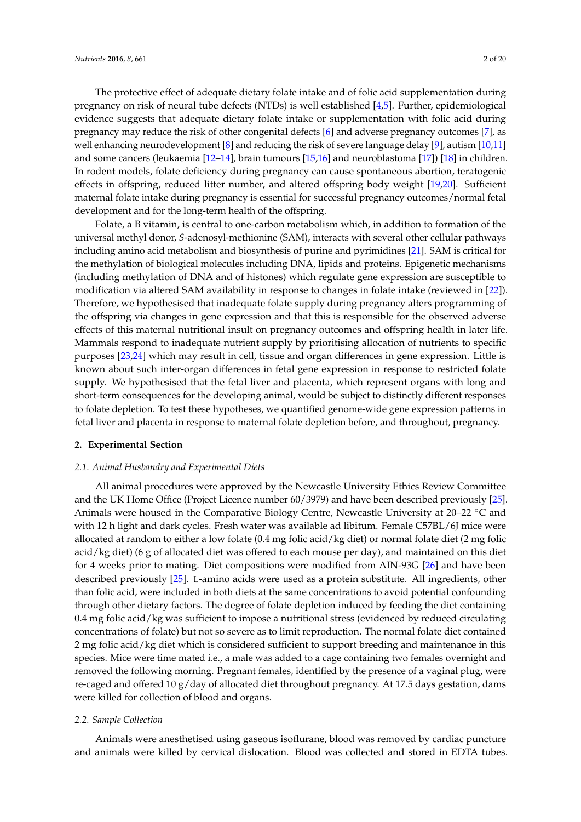The protective effect of adequate dietary folate intake and of folic acid supplementation during pregnancy on risk of neural tube defects (NTDs) is well established [\[4](#page-18-0)[,5\]](#page-18-1). Further, epidemiological evidence suggests that adequate dietary folate intake or supplementation with folic acid during pregnancy may reduce the risk of other congenital defects [\[6\]](#page-18-2) and adverse pregnancy outcomes [\[7\]](#page-18-3), as well enhancing neurodevelopment [\[8\]](#page-18-4) and reducing the risk of severe language delay [\[9\]](#page-18-5), autism [\[10,](#page-18-6)[11\]](#page-18-7) and some cancers (leukaemia [\[12](#page-18-8)[–14\]](#page-18-9), brain tumours [\[15,](#page-18-10)[16\]](#page-18-11) and neuroblastoma [\[17\]](#page-18-12)) [\[18\]](#page-18-13) in children. In rodent models, folate deficiency during pregnancy can cause spontaneous abortion, teratogenic effects in offspring, reduced litter number, and altered offspring body weight [\[19,](#page-18-14)[20\]](#page-18-15). Sufficient maternal folate intake during pregnancy is essential for successful pregnancy outcomes/normal fetal development and for the long-term health of the offspring.

Folate, a B vitamin, is central to one-carbon metabolism which, in addition to formation of the universal methyl donor, *S*-adenosyl-methionine (SAM), interacts with several other cellular pathways including amino acid metabolism and biosynthesis of purine and pyrimidines [\[21\]](#page-18-16). SAM is critical for the methylation of biological molecules including DNA, lipids and proteins. Epigenetic mechanisms (including methylation of DNA and of histones) which regulate gene expression are susceptible to modification via altered SAM availability in response to changes in folate intake (reviewed in [\[22\]](#page-19-0)). Therefore, we hypothesised that inadequate folate supply during pregnancy alters programming of the offspring via changes in gene expression and that this is responsible for the observed adverse effects of this maternal nutritional insult on pregnancy outcomes and offspring health in later life. Mammals respond to inadequate nutrient supply by prioritising allocation of nutrients to specific purposes [\[23](#page-19-1)[,24\]](#page-19-2) which may result in cell, tissue and organ differences in gene expression. Little is known about such inter-organ differences in fetal gene expression in response to restricted folate supply. We hypothesised that the fetal liver and placenta, which represent organs with long and short-term consequences for the developing animal, would be subject to distinctly different responses to folate depletion. To test these hypotheses, we quantified genome-wide gene expression patterns in fetal liver and placenta in response to maternal folate depletion before, and throughout, pregnancy.

#### **2. Experimental Section**

#### *2.1. Animal Husbandry and Experimental Diets*

All animal procedures were approved by the Newcastle University Ethics Review Committee and the UK Home Office (Project Licence number 60/3979) and have been described previously [\[25\]](#page-19-3). Animals were housed in the Comparative Biology Centre, Newcastle University at 20–22 ◦C and with 12 h light and dark cycles. Fresh water was available ad libitum. Female C57BL/6J mice were allocated at random to either a low folate (0.4 mg folic acid/kg diet) or normal folate diet (2 mg folic acid/kg diet) (6 g of allocated diet was offered to each mouse per day), and maintained on this diet for 4 weeks prior to mating. Diet compositions were modified from AIN-93G [\[26\]](#page-19-4) and have been described previously [\[25\]](#page-19-3). L-amino acids were used as a protein substitute. All ingredients, other than folic acid, were included in both diets at the same concentrations to avoid potential confounding through other dietary factors. The degree of folate depletion induced by feeding the diet containing 0.4 mg folic acid/kg was sufficient to impose a nutritional stress (evidenced by reduced circulating concentrations of folate) but not so severe as to limit reproduction. The normal folate diet contained 2 mg folic acid/kg diet which is considered sufficient to support breeding and maintenance in this species. Mice were time mated i.e., a male was added to a cage containing two females overnight and removed the following morning. Pregnant females, identified by the presence of a vaginal plug, were re-caged and offered 10 g/day of allocated diet throughout pregnancy. At 17.5 days gestation, dams were killed for collection of blood and organs.

#### *2.2. Sample Collection*

Animals were anesthetised using gaseous isoflurane, blood was removed by cardiac puncture and animals were killed by cervical dislocation. Blood was collected and stored in EDTA tubes.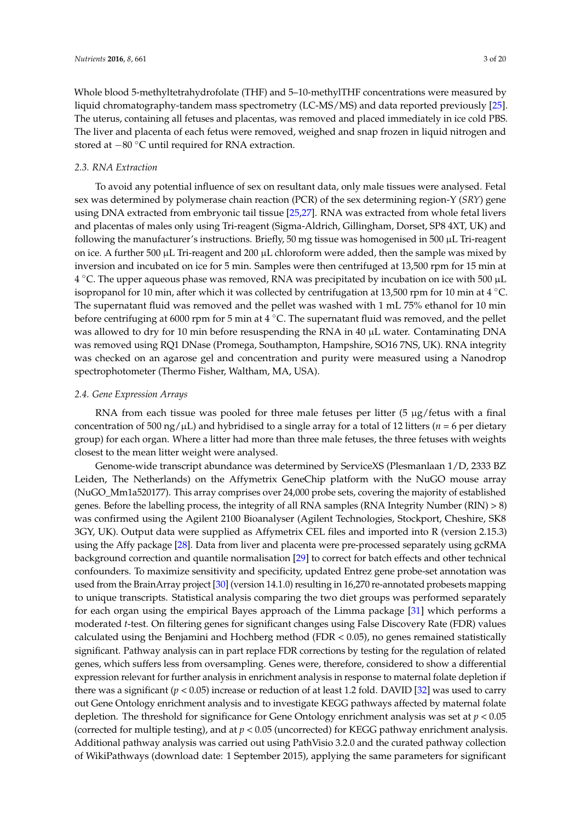Whole blood 5-methyltetrahydrofolate (THF) and 5–10-methylTHF concentrations were measured by liquid chromatography-tandem mass spectrometry (LC-MS/MS) and data reported previously [\[25\]](#page-19-3). The uterus, containing all fetuses and placentas, was removed and placed immediately in ice cold PBS. The liver and placenta of each fetus were removed, weighed and snap frozen in liquid nitrogen and stored at −80 ◦C until required for RNA extraction.

#### *2.3. RNA Extraction*

To avoid any potential influence of sex on resultant data, only male tissues were analysed. Fetal sex was determined by polymerase chain reaction (PCR) of the sex determining region-Y (*SRY*) gene using DNA extracted from embryonic tail tissue [\[25](#page-19-3)[,27\]](#page-19-5). RNA was extracted from whole fetal livers and placentas of males only using Tri-reagent (Sigma-Aldrich, Gillingham, Dorset, SP8 4XT, UK) and following the manufacturer's instructions. Briefly, 50 mg tissue was homogenised in 500 µL Tri-reagent on ice. A further 500 µL Tri-reagent and 200 µL chloroform were added, then the sample was mixed by inversion and incubated on ice for 5 min. Samples were then centrifuged at 13,500 rpm for 15 min at 4 °C. The upper aqueous phase was removed, RNA was precipitated by incubation on ice with 500 μL isopropanol for 10 min, after which it was collected by centrifugation at 13,500 rpm for 10 min at 4  $°C$ . The supernatant fluid was removed and the pellet was washed with 1 mL 75% ethanol for 10 min before centrifuging at 6000 rpm for 5 min at 4 °C. The supernatant fluid was removed, and the pellet was allowed to dry for 10 min before resuspending the RNA in 40 µL water. Contaminating DNA was removed using RQ1 DNase (Promega, Southampton, Hampshire, SO16 7NS, UK). RNA integrity was checked on an agarose gel and concentration and purity were measured using a Nanodrop spectrophotometer (Thermo Fisher, Waltham, MA, USA).

#### *2.4. Gene Expression Arrays*

RNA from each tissue was pooled for three male fetuses per litter (5  $\mu$ g/fetus with a final concentration of 500 ng/ $\mu$ L) and hybridised to a single array for a total of 12 litters ( $n = 6$  per dietary group) for each organ. Where a litter had more than three male fetuses, the three fetuses with weights closest to the mean litter weight were analysed.

Genome-wide transcript abundance was determined by ServiceXS (Plesmanlaan 1/D, 2333 BZ Leiden, The Netherlands) on the Affymetrix GeneChip platform with the NuGO mouse array (NuGO\_Mm1a520177). This array comprises over 24,000 probe sets, covering the majority of established genes. Before the labelling process, the integrity of all RNA samples (RNA Integrity Number (RIN) > 8) was confirmed using the Agilent 2100 Bioanalyser (Agilent Technologies, Stockport, Cheshire, SK8 3GY, UK). Output data were supplied as Affymetrix CEL files and imported into R (version 2.15.3) using the Affy package [\[28\]](#page-19-6). Data from liver and placenta were pre-processed separately using gcRMA background correction and quantile normalisation [\[29\]](#page-19-7) to correct for batch effects and other technical confounders. To maximize sensitivity and specificity, updated Entrez gene probe-set annotation was used from the BrainArray project [\[30\]](#page-19-8) (version 14.1.0) resulting in 16,270 re-annotated probesets mapping to unique transcripts. Statistical analysis comparing the two diet groups was performed separately for each organ using the empirical Bayes approach of the Limma package [\[31\]](#page-19-9) which performs a moderated *t*-test. On filtering genes for significant changes using False Discovery Rate (FDR) values calculated using the Benjamini and Hochberg method (FDR < 0.05), no genes remained statistically significant. Pathway analysis can in part replace FDR corrections by testing for the regulation of related genes, which suffers less from oversampling. Genes were, therefore, considered to show a differential expression relevant for further analysis in enrichment analysis in response to maternal folate depletion if there was a significant ( $p < 0.05$ ) increase or reduction of at least 1.2 fold. DAVID [\[32\]](#page-19-10) was used to carry out Gene Ontology enrichment analysis and to investigate KEGG pathways affected by maternal folate depletion. The threshold for significance for Gene Ontology enrichment analysis was set at *p* < 0.05 (corrected for multiple testing), and at *p* < 0.05 (uncorrected) for KEGG pathway enrichment analysis. Additional pathway analysis was carried out using PathVisio 3.2.0 and the curated pathway collection of WikiPathways (download date: 1 September 2015), applying the same parameters for significant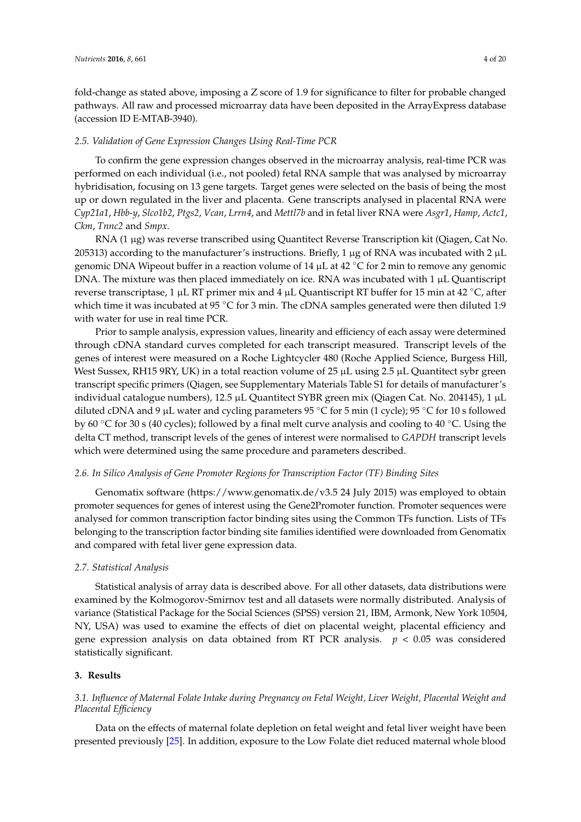fold-change as stated above, imposing a Z score of 1.9 for significance to filter for probable changed pathways. All raw and processed microarray data have been deposited in the ArrayExpress database (accession ID E-MTAB-3940).

#### *2.5. Validation of Gene Expression Changes Using Real-Time PCR*

To confirm the gene expression changes observed in the microarray analysis, real-time PCR was performed on each individual (i.e., not pooled) fetal RNA sample that was analysed by microarray hybridisation, focusing on 13 gene targets. Target genes were selected on the basis of being the most up or down regulated in the liver and placenta. Gene transcripts analysed in placental RNA were *Cyp21a1*, *Hbb-y*, *Slco1b2*, *Ptgs2*, *Vcan*, *Lrrn4*, and *Mettl7b* and in fetal liver RNA were *Asgr1*, *Hamp*, *Actc1*, *Ckm*, *Tnnc2* and *Smpx*.

RNA (1 µg) was reverse transcribed using Quantitect Reverse Transcription kit (Qiagen, Cat No. 205313) according to the manufacturer's instructions. Briefly, 1  $\mu$ g of RNA was incubated with 2  $\mu$ L genomic DNA Wipeout buffer in a reaction volume of 14  $\mu$ L at 42 °C for 2 min to remove any genomic DNA. The mixture was then placed immediately on ice. RNA was incubated with  $1 \mu L$  Quantiscript reverse transcriptase, 1 µL RT primer mix and 4 µL Quantiscript RT buffer for 15 min at 42 °C, after which time it was incubated at 95 °C for 3 min. The cDNA samples generated were then diluted 1:9 with water for use in real time PCR.

Prior to sample analysis, expression values, linearity and efficiency of each assay were determined through cDNA standard curves completed for each transcript measured. Transcript levels of the genes of interest were measured on a Roche Lightcycler 480 (Roche Applied Science, Burgess Hill, West Sussex, RH15 9RY, UK) in a total reaction volume of  $25 \mu L$  using  $2.5 \mu L$  Quantitect sybr green transcript specific primers (Qiagen, see Supplementary Materials Table S1 for details of manufacturer's individual catalogue numbers), 12.5 µL Quantitect SYBR green mix (Qiagen Cat. No. 204145), 1 µL diluted cDNA and 9 µL water and cycling parameters 95 ◦C for 5 min (1 cycle); 95 ◦C for 10 s followed by 60 ◦C for 30 s (40 cycles); followed by a final melt curve analysis and cooling to 40 ◦C. Using the delta CT method, transcript levels of the genes of interest were normalised to *GAPDH* transcript levels which were determined using the same procedure and parameters described.

#### *2.6. In Silico Analysis of Gene Promoter Regions for Transcription Factor (TF) Binding Sites*

Genomatix software [\(https://www.genomatix.de/v3.5](https://www.genomatix.de/v3.5) 24 July 2015) was employed to obtain promoter sequences for genes of interest using the Gene2Promoter function. Promoter sequences were analysed for common transcription factor binding sites using the Common TFs function. Lists of TFs belonging to the transcription factor binding site families identified were downloaded from Genomatix and compared with fetal liver gene expression data.

#### *2.7. Statistical Analysis*

Statistical analysis of array data is described above. For all other datasets, data distributions were examined by the Kolmogorov-Smirnov test and all datasets were normally distributed. Analysis of variance (Statistical Package for the Social Sciences (SPSS) version 21, IBM, Armonk, New York 10504, NY, USA) was used to examine the effects of diet on placental weight, placental efficiency and gene expression analysis on data obtained from RT PCR analysis.  $p < 0.05$  was considered statistically significant.

#### **3. Results**

# *3.1. Influence of Maternal Folate Intake during Pregnancy on Fetal Weight, Liver Weight, Placental Weight and Placental Efficiency*

Data on the effects of maternal folate depletion on fetal weight and fetal liver weight have been presented previously [\[25\]](#page-19-3). In addition, exposure to the Low Folate diet reduced maternal whole blood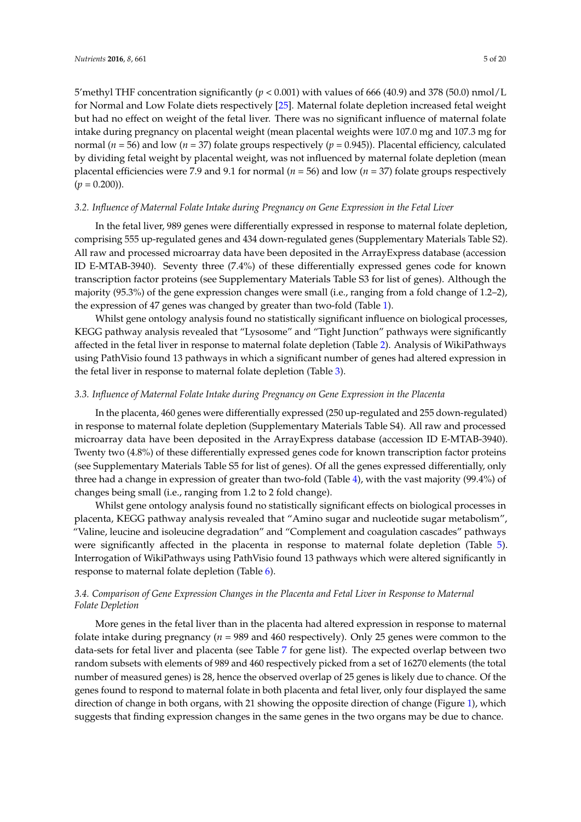5'methyl THF concentration significantly (*p* < 0.001) with values of 666 (40.9) and 378 (50.0) nmol/L for Normal and Low Folate diets respectively [\[25\]](#page-19-3). Maternal folate depletion increased fetal weight but had no effect on weight of the fetal liver. There was no significant influence of maternal folate intake during pregnancy on placental weight (mean placental weights were 107.0 mg and 107.3 mg for normal (*n* = 56) and low (*n* = 37) folate groups respectively (*p* = 0.945)). Placental efficiency, calculated by dividing fetal weight by placental weight, was not influenced by maternal folate depletion (mean placental efficiencies were 7.9 and 9.1 for normal (*n* = 56) and low (*n* = 37) folate groups respectively  $(p = 0.200)$ .

# *3.2. Influence of Maternal Folate Intake during Pregnancy on Gene Expression in the Fetal Liver*

In the fetal liver, 989 genes were differentially expressed in response to maternal folate depletion, comprising 555 up-regulated genes and 434 down-regulated genes (Supplementary Materials Table S2). All raw and processed microarray data have been deposited in the ArrayExpress database (accession ID E-MTAB-3940). Seventy three (7.4%) of these differentially expressed genes code for known transcription factor proteins (see Supplementary Materials Table S3 for list of genes). Although the majority (95.3%) of the gene expression changes were small (i.e., ranging from a fold change of 1.2–2), the expression of 47 genes was changed by greater than two-fold (Table [1\)](#page-7-0).

Whilst gene ontology analysis found no statistically significant influence on biological processes, KEGG pathway analysis revealed that "Lysosome" and "Tight Junction" pathways were significantly affected in the fetal liver in response to maternal folate depletion (Table [2\)](#page-7-1). Analysis of WikiPathways using PathVisio found 13 pathways in which a significant number of genes had altered expression in the fetal liver in response to maternal folate depletion (Table [3\)](#page-8-0).

# *3.3. Influence of Maternal Folate Intake during Pregnancy on Gene Expression in the Placenta*

In the placenta, 460 genes were differentially expressed (250 up-regulated and 255 down-regulated) in response to maternal folate depletion (Supplementary Materials Table S4). All raw and processed microarray data have been deposited in the ArrayExpress database (accession ID E-MTAB-3940). Twenty two (4.8%) of these differentially expressed genes code for known transcription factor proteins (see Supplementary Materials Table S5 for list of genes). Of all the genes expressed differentially, only three had a change in expression of greater than two-fold (Table [4\)](#page-8-1), with the vast majority (99.4%) of changes being small (i.e., ranging from 1.2 to 2 fold change).

Whilst gene ontology analysis found no statistically significant effects on biological processes in placenta, KEGG pathway analysis revealed that "Amino sugar and nucleotide sugar metabolism", "Valine, leucine and isoleucine degradation" and "Complement and coagulation cascades" pathways were significantly affected in the placenta in response to maternal folate depletion (Table [5\)](#page-9-0). Interrogation of WikiPathways using PathVisio found 13 pathways which were altered significantly in response to maternal folate depletion (Table [6\)](#page-9-1).

# *3.4. Comparison of Gene Expression Changes in the Placenta and Fetal Liver in Response to Maternal Folate Depletion*

More genes in the fetal liver than in the placenta had altered expression in response to maternal folate intake during pregnancy (*n* = 989 and 460 respectively). Only 25 genes were common to the data-sets for fetal liver and placenta (see Table [7](#page-10-0) for gene list). The expected overlap between two random subsets with elements of 989 and 460 respectively picked from a set of 16270 elements (the total number of measured genes) is 28, hence the observed overlap of 25 genes is likely due to chance. Of the genes found to respond to maternal folate in both placenta and fetal liver, only four displayed the same direction of change in both organs, with 21 showing the opposite direction of change (Figure [1\)](#page-11-0), which suggests that finding expression changes in the same genes in the two organs may be due to chance.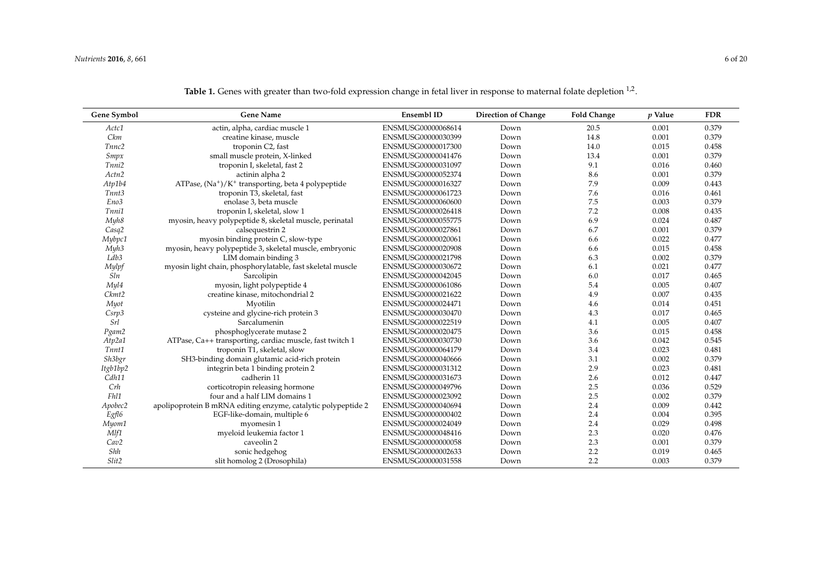| <b>Gene Symbol</b> | <b>Gene Name</b>                                                           | Ensembl ID         | <b>Direction of Change</b> | <b>Fold Change</b> | p Value | <b>FDR</b> |
|--------------------|----------------------------------------------------------------------------|--------------------|----------------------------|--------------------|---------|------------|
| Actc1              | actin, alpha, cardiac muscle 1                                             | ENSMUSG00000068614 | Down                       | 20.5               | 0.001   | 0.379      |
| Ckm                | creatine kinase, muscle                                                    | ENSMUSG00000030399 | Down                       | 14.8               | 0.001   | 0.379      |
| Tnnc2              | troponin C2, fast                                                          | ENSMUSG00000017300 | Down                       | 14.0               | 0.015   | 0.458      |
| Smpx               | small muscle protein, X-linked                                             | ENSMUSG00000041476 | Down                       | 13.4               | 0.001   | 0.379      |
| Tnni2              | troponin I, skeletal, fast 2                                               | ENSMUSG00000031097 | Down                       | 9.1                | 0.016   | 0.460      |
| Actn2              | actinin alpha 2                                                            | ENSMUSG00000052374 | Down                       | 8.6                | 0.001   | 0.379      |
| Atp1b4             | ATPase, (Na <sup>+</sup> )/K <sup>+</sup> transporting, beta 4 polypeptide | ENSMUSG00000016327 | Down                       | 7.9                | 0.009   | 0.443      |
| Tnnt3              | troponin T3, skeletal, fast                                                | ENSMUSG00000061723 | Down                       | 7.6                | 0.016   | 0.461      |
| Eno3               | enolase 3, beta muscle                                                     | ENSMUSG00000060600 | Down                       | 7.5                | 0.003   | 0.379      |
| Tnni1              | troponin I, skeletal, slow 1                                               | ENSMUSG00000026418 | Down                       | 7.2                | 0.008   | 0.435      |
| Myh8               | myosin, heavy polypeptide 8, skeletal muscle, perinatal                    | ENSMUSG00000055775 | Down                       | 6.9                | 0.024   | 0.487      |
| Casq2              | calsequestrin 2                                                            | ENSMUSG00000027861 | Down                       | 6.7                | 0.001   | 0.379      |
| Mybpc1             | myosin binding protein C, slow-type                                        | ENSMUSG00000020061 | Down                       | 6.6                | 0.022   | 0.477      |
| Myh3               | myosin, heavy polypeptide 3, skeletal muscle, embryonic                    | ENSMUSG00000020908 | Down                       | 6.6                | 0.015   | 0.458      |
| Ldb3               | LIM domain binding 3                                                       | ENSMUSG00000021798 | Down                       | 6.3                | 0.002   | 0.379      |
| Mylpf              | myosin light chain, phosphorylatable, fast skeletal muscle                 | ENSMUSG00000030672 | Down                       | 6.1                | 0.021   | 0.477      |
| Sln                | Sarcolipin                                                                 | ENSMUSG00000042045 | Down                       | 6.0                | 0.017   | 0.465      |
| Myl4               | myosin, light polypeptide 4                                                | ENSMUSG00000061086 | Down                       | 5.4                | 0.005   | 0.407      |
| Ckmt2              | creatine kinase, mitochondrial 2                                           | ENSMUSG00000021622 | Down                       | 4.9                | 0.007   | 0.435      |
| Myot               | Mvotilin                                                                   | ENSMUSG00000024471 | Down                       | 4.6                | 0.014   | 0.451      |
| Csrp3              | cysteine and glycine-rich protein 3                                        | ENSMUSG00000030470 | Down                       | 4.3                | 0.017   | 0.465      |
| Srl                | Sarcalumenin                                                               | ENSMUSG00000022519 | Down                       | 4.1                | 0.005   | 0.407      |
| Pgam2              | phosphoglycerate mutase 2                                                  | ENSMUSG00000020475 | Down                       | 3.6                | 0.015   | 0.458      |
| Atp2a1             | ATPase, Ca++ transporting, cardiac muscle, fast twitch 1                   | ENSMUSG00000030730 | Down                       | 3.6                | 0.042   | 0.545      |
| Tnnt1              | troponin T1, skeletal, slow                                                | ENSMUSG00000064179 | Down                       | 3.4                | 0.023   | 0.481      |
| Sh3bgr             | SH3-binding domain glutamic acid-rich protein                              | ENSMUSG00000040666 | Down                       | 3.1                | 0.002   | 0.379      |
| Itgb1bp2           | integrin beta 1 binding protein 2                                          | ENSMUSG00000031312 | Down                       | 2.9                | 0.023   | 0.481      |
| Cdh11              | cadherin 11                                                                | ENSMUSG00000031673 | Down                       | 2.6                | 0.012   | 0.447      |
| Crh                | corticotropin releasing hormone                                            | ENSMUSG00000049796 | Down                       | 2.5                | 0.036   | 0.529      |
| Fhl1               | four and a half LIM domains 1                                              | ENSMUSG00000023092 | Down                       | 2.5                | 0.002   | 0.379      |
| Apobec2            | apolipoprotein B mRNA editing enzyme, catalytic polypeptide 2              | ENSMUSG00000040694 | Down                       | 2.4                | 0.009   | 0.442      |
| Egfl6              | EGF-like-domain, multiple 6                                                | ENSMUSG00000000402 | Down                       | 2.4                | 0.004   | 0.395      |
| Myom1              | myomesin 1                                                                 | ENSMUSG00000024049 | Down                       | 2.4                | 0.029   | 0.498      |
| Mlf1               | myeloid leukemia factor 1                                                  | ENSMUSG00000048416 | Down                       | 2.3                | 0.020   | 0.476      |
| Cav2               | caveolin 2                                                                 | ENSMUSG00000000058 | Down                       | 2.3                | 0.001   | 0.379      |
| Shh                | sonic hedgehog                                                             | ENSMUSG00000002633 | Down                       | 2.2                | 0.019   | 0.465      |
| Slit2              | slit homolog 2 (Drosophila)                                                | ENSMUSG00000031558 | Down                       | 2.2                | 0.003   | 0.379      |

Table 1. Genes with greater than two-fold expression change in fetal liver in response to maternal folate depletion <sup>1,2</sup>.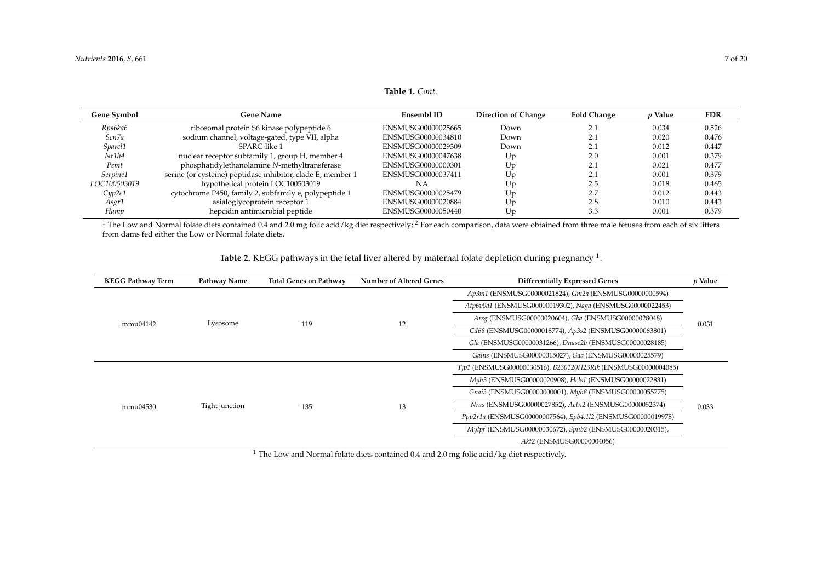### **Table 1.** *Cont.*

| Gene Symbol  | Gene Name                                                   | Ensembl ID         | <b>Direction of Change</b> | <b>Fold Change</b> | <i>p</i> Value | <b>FDR</b> |
|--------------|-------------------------------------------------------------|--------------------|----------------------------|--------------------|----------------|------------|
| Rps6ka6      | ribosomal protein S6 kinase polypeptide 6                   | ENSMUSG00000025665 | Down                       | 2.1                | 0.034          | 0.526      |
| Scn7a        | sodium channel, voltage-gated, type VII, alpha              | ENSMUSG00000034810 | Down                       | 2.1                | 0.020          | 0.476      |
| Sparc11      | SPARC-like 1                                                | ENSMUSG00000029309 | Down                       | 2.1                | 0.012          | 0.447      |
| Nr1h4        | nuclear receptor subfamily 1, group H, member 4             | ENSMUSG00000047638 | Up                         | 2.0                | 0.001          | 0.379      |
| Pemt         | phosphatidylethanolamine N-methyltransferase                | ENSMUSG00000000301 | Up                         | 2.1                | 0.021          | 0.477      |
| Servine1     | serine (or cysteine) peptidase inhibitor, clade E, member 1 | ENSMUSG00000037411 | Up                         | 2.1                | 0.001          | 0.379      |
| LOC100503019 | hypothetical protein LOC100503019                           | NΑ                 | Up                         | 2.5                | 0.018          | 0.465      |
| Cup2e1       | cytochrome P450, family 2, subfamily e, polypeptide 1       | ENSMUSG00000025479 | Up                         | 2.7                | 0.012          | 0.443      |
| Asgr1        | asialoglycoprotein receptor 1                               | ENSMUSG00000020884 | Up                         | 2.8                | 0.010          | 0.443      |
| Hamp         | hepcidin antimicrobial peptide                              | ENSMUSG00000050440 | Up                         | 3.3                | 0.001          | 0.379      |

 $^1$  The Low and Normal folate diets contained 0.4 and 2.0 mg folic acid/kg diet respectively;  $^2$  For each comparison, data were obtained from three male fetuses from each of six litters from dams fed either the Low or Normal folate diets.

**Table 2.** KEGG pathways in the fetal liver altered by maternal folate depletion during pregnancy <sup>1</sup> .

<span id="page-7-0"></span>

| <b>KEGG Pathway Term</b> | Pathway Name                                           | <b>Total Genes on Pathway</b> | <b>Number of Altered Genes</b>                        | <b>Differentially Expressed Genes</b>                         | p Value |  |
|--------------------------|--------------------------------------------------------|-------------------------------|-------------------------------------------------------|---------------------------------------------------------------|---------|--|
|                          |                                                        |                               | Ap3m1 (ENSMUSG00000021824), Gm2a (ENSMUSG00000000594) |                                                               |         |  |
|                          |                                                        |                               |                                                       | Atp6v0a1 (ENSMUSG00000019302), Naga (ENSMUSG00000022453)      |         |  |
|                          | Lysosome                                               | 119                           |                                                       | Arsg (ENSMUSG00000020604), Gba (ENSMUSG00000028048)           | 0.031   |  |
| mmu04142                 |                                                        |                               | 12                                                    | Cd68 (ENSMUSG00000018774), Ap3s2 (ENSMUSG00000063801)         |         |  |
|                          | Gla (ENSMUSG00000031266), Dnase2b (ENSMUSG00000028185) |                               |                                                       |                                                               |         |  |
|                          |                                                        |                               |                                                       | Galns (ENSMUSG00000015027), Gaa (ENSMUSG00000025579)          |         |  |
|                          |                                                        |                               |                                                       | Tip1 (ENSMUSG00000030516), B230120H23Rik (ENSMUSG00000004085) |         |  |
|                          |                                                        |                               |                                                       | Myh3 (ENSMUSG00000020908), Hcls1 (ENSMUSG00000022831)         |         |  |
|                          |                                                        |                               |                                                       | Gnai3 (ENSMUSG00000000001), Myh8 (ENSMUSG00000055775)         |         |  |
| mmu04530                 | Tight junction                                         | 135                           | 13                                                    | Nras (ENSMUSG00000027852), Actn2 (ENSMUSG00000052374)         | 0.033   |  |
|                          |                                                        |                               |                                                       | Ppp2r1a (ENSMUSG00000007564), Epb4.1l2 (ENSMUSG00000019978)   |         |  |
|                          |                                                        |                               |                                                       | Mylpf (ENSMUSG00000030672), Spnb2 (ENSMUSG00000020315),       |         |  |
|                          |                                                        |                               |                                                       | Akt2 (ENSMUSG00000004056)                                     |         |  |

<span id="page-7-1"></span> $1$  The Low and Normal folate diets contained 0.4 and 2.0 mg folic acid/kg diet respectively.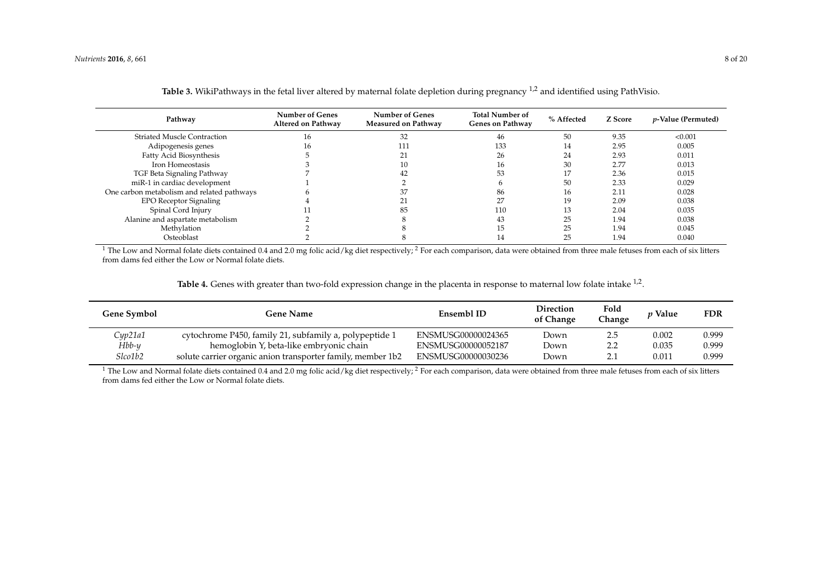| Pathway                                    | <b>Number of Genes</b><br><b>Altered on Pathway</b> | <b>Number of Genes</b><br>Measured on Pathway | <b>Total Number of</b><br><b>Genes on Pathway</b> | % Affected | Z Score | <i>p</i> -Value (Permuted) |
|--------------------------------------------|-----------------------------------------------------|-----------------------------------------------|---------------------------------------------------|------------|---------|----------------------------|
| <b>Striated Muscle Contraction</b>         | 16                                                  | 32                                            | 46                                                | 50         | 9.35    | < 0.001                    |
| Adipogenesis genes                         | 16                                                  | 111                                           | 133                                               | 14         | 2.95    | 0.005                      |
| Fatty Acid Biosynthesis                    |                                                     | 21                                            | 26                                                | 24         | 2.93    | 0.011                      |
| Iron Homeostasis                           |                                                     | 10                                            | 16                                                | 30         | 2.77    | 0.013                      |
| TGF Beta Signaling Pathway                 |                                                     | 42                                            | 53                                                | 17         | 2.36    | 0.015                      |
| miR-1 in cardiac development               |                                                     |                                               | <sub>t</sub>                                      | 50         | 2.33    | 0.029                      |
| One carbon metabolism and related pathways |                                                     |                                               | 86                                                | 16         | 2.11    | 0.028                      |
| <b>EPO Receptor Signaling</b>              |                                                     |                                               | 27                                                | 19         | 2.09    | 0.038                      |
| Spinal Cord Injury                         |                                                     | 85                                            | 110                                               | 13         | 2.04    | 0.035                      |
| Alanine and aspartate metabolism           |                                                     |                                               | 43                                                | 25         | 1.94    | 0.038                      |
| Methylation                                |                                                     |                                               | 15                                                | 25         | 1.94    | 0.045                      |
| Osteoblast                                 |                                                     |                                               | 14                                                | 25         | 1.94    | 0.040                      |

**Table 3.** WikiPathways in the fetal liver altered by maternal folate depletion during pregnancy <sup>1,2</sup> and identified using PathVisio.

<sup>1</sup> The Low and Normal folate diets contained 0.4 and 2.0 mg folic acid/kg diet respectively; <sup>2</sup> For each comparison, data were obtained from three male fetuses from each of six litters from dams fed either the Low or Normal folate diets.

|  |  | Table 4. Genes with greater than two-fold expression change in the placenta in response to maternal low folate intake $1.2$ . |
|--|--|-------------------------------------------------------------------------------------------------------------------------------|
|--|--|-------------------------------------------------------------------------------------------------------------------------------|

<span id="page-8-0"></span>

| <b>Gene Symbol</b> | Gene Name                                                   | Ensembl ID         | Direction<br>of Change | Fold<br>Change   | <i>v</i> Value | <b>FDR</b> |
|--------------------|-------------------------------------------------------------|--------------------|------------------------|------------------|----------------|------------|
| Cyp21a1            | cytochrome P450, family 21, subfamily a, polypeptide 1      | ENSMUSG00000024365 | Down                   |                  | 0.002          | 0.999      |
| Hbb-y              | hemoglobin Y, beta-like embryonic chain                     | ENSMUSG00000052187 | Down                   | ົາ າ             | 0.035          | 0.999      |
| Slco1b2            | solute carrier organic anion transporter family, member 1b2 | ENSMUSG00000030236 | Down                   | ົາ 1<br><u>.</u> | 0.011          | 0.999      |

<span id="page-8-1"></span> $^1$  The Low and Normal folate diets contained 0.4 and 2.0 mg folic acid/kg diet respectively;  $^2$  For each comparison, data were obtained from three male fetuses from each of six litters from dams fed either the Low or Normal folate diets.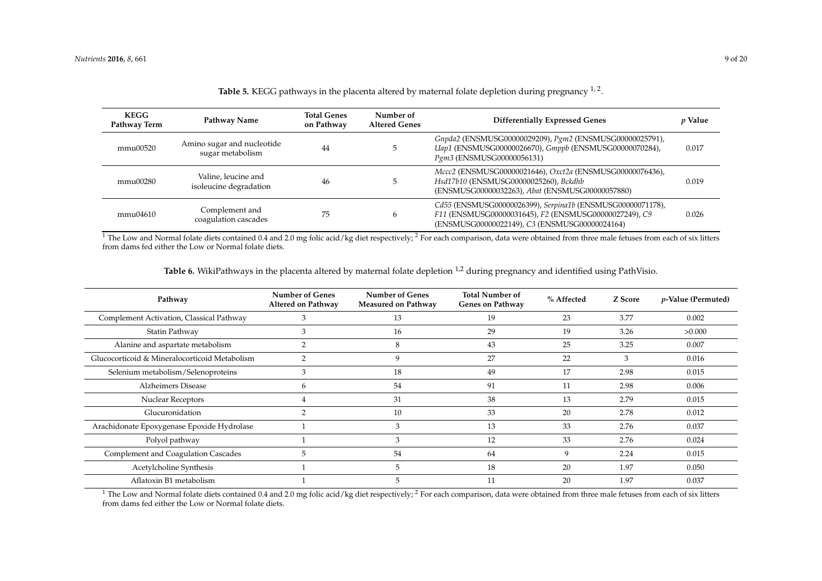| <b>KEGG</b><br>Pathway Term | Pathway Name                                   | <b>Total Genes</b><br>on Pathway | Number of<br><b>Altered Genes</b> | <b>Differentially Expressed Genes</b>                                                                                                                                | <i>p</i> Value |
|-----------------------------|------------------------------------------------|----------------------------------|-----------------------------------|----------------------------------------------------------------------------------------------------------------------------------------------------------------------|----------------|
| mmu00520                    | Amino sugar and nucleotide<br>sugar metabolism | 44                               |                                   | Gnpda2 (ENSMUSG00000029209), Pgm2 (ENSMUSG00000025791),<br>Uap1 (ENSMUSG00000026670), Gmppb (ENSMUSG00000070284),<br>Pgm3 (ENSMUSG00000056131)                       | 0.017          |
| mmu00280                    | Valine, leucine and<br>isoleucine degradation  | 46                               |                                   | Mccc2 (ENSMUSG00000021646), Oxct2a (ENSMUSG00000076436),<br>Hsd17b10 (ENSMUSG00000025260), Bckdhb<br>(ENSMUSG00000032263), Abat (ENSMUSG00000057880)                 | 0.019          |
| $mmu$ 04610                 | Complement and<br>coagulation cascades         | 75                               | 6                                 | Cd55 (ENSMUSG00000026399), Serpina1b (ENSMUSG00000071178),<br>F11 (ENSMUSG00000031645), F2 (ENSMUSG00000027249), C9<br>(ENSMUSG00000022149), C3 (ENSMUSG00000024164) | 0.026          |

|  |  |  |  |  | Table 5. KEGG pathways in the placenta altered by maternal folate depletion during pregnancy $1/2$ . |
|--|--|--|--|--|------------------------------------------------------------------------------------------------------|
|--|--|--|--|--|------------------------------------------------------------------------------------------------------|

 $^1$  The Low and Normal folate diets contained 0.4 and 2.0 mg folic acid/kg diet respectively;  $^2$  For each comparison, data were obtained from three male fetuses from each of six litters from dams fed either the Low or Normal folate diets.

<span id="page-9-0"></span>

| Pathway                                       | <b>Number of Genes</b><br>Altered on Pathway | <b>Number of Genes</b><br>Measured on Pathway | <b>Total Number of</b><br>Genes on Pathway | % Affected | Z Score | $p$ -Value (Permuted) |
|-----------------------------------------------|----------------------------------------------|-----------------------------------------------|--------------------------------------------|------------|---------|-----------------------|
| Complement Activation, Classical Pathway      |                                              | 13                                            | 19                                         | 23         | 3.77    | 0.002                 |
| Statin Pathway                                | 3                                            | 16                                            | 29                                         | 19         | 3.26    | >0.000                |
| Alanine and aspartate metabolism              |                                              | 8                                             | 43                                         | 25         | 3.25    | 0.007                 |
| Glucocorticoid & Mineralocorticoid Metabolism |                                              | $\mathbf Q$                                   | 27                                         | 22         | 3       | 0.016                 |
| Selenium metabolism/Selenoproteins            | 3                                            | 18                                            | 49                                         | 17         | 2.98    | 0.015                 |
| <b>Alzheimers Disease</b>                     | 6                                            | 54                                            | 91                                         | 11         | 2.98    | 0.006                 |
| Nuclear Receptors                             |                                              | 31                                            | 38                                         | 13         | 2.79    | 0.015                 |
| Glucuronidation                               |                                              | 10                                            | 33                                         | 20         | 2.78    | 0.012                 |
| Arachidonate Epoxygenase Epoxide Hydrolase    |                                              | 3                                             | 13                                         | 33         | 2.76    | 0.037                 |
| Polyol pathway                                |                                              | 3                                             | 12                                         | 33         | 2.76    | 0.024                 |
| Complement and Coagulation Cascades           |                                              | 54                                            | 64                                         | 9          | 2.24    | 0.015                 |
| Acetylcholine Synthesis                       |                                              | b.                                            | 18                                         | 20         | 1.97    | 0.050                 |
| Aflatoxin B1 metabolism                       |                                              |                                               | 11                                         | 20         | 1.97    | 0.037                 |

Table 6. WikiPathways in the placenta altered by maternal folate depletion <sup>1,2</sup> during pregnancy and identified using PathVisio.

<span id="page-9-1"></span><sup>1</sup> The Low and Normal folate diets contained 0.4 and 2.0 mg folic acid/kg diet respectively;<sup>2</sup> For each comparison, data were obtained from three male fetuses from each of six litters from dams fed either the Low or Normal folate diets.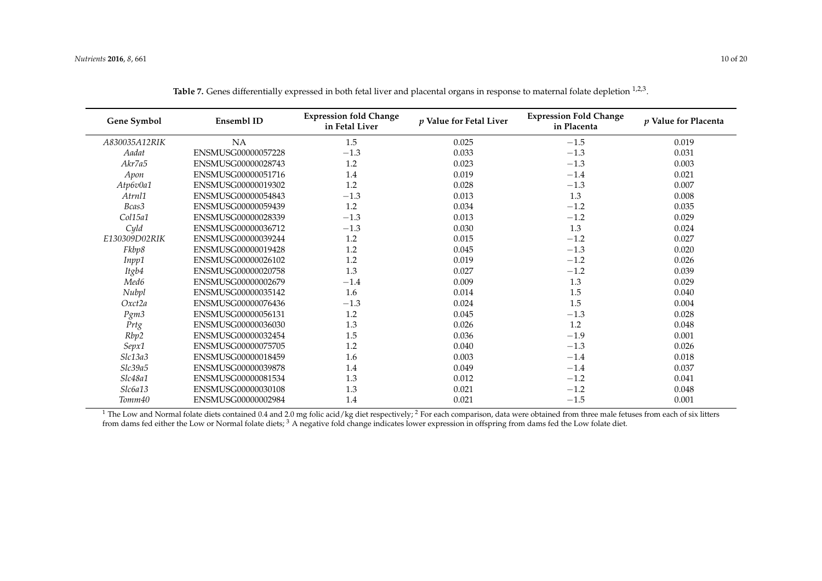| Gene Symbol   | Ensembl ID         | <b>Expression fold Change</b><br>in Fetal Liver | $p$ Value for Fetal Liver | <b>Expression Fold Change</b><br>in Placenta | $p$ Value for Placenta |
|---------------|--------------------|-------------------------------------------------|---------------------------|----------------------------------------------|------------------------|
| A830035A12RIK | NA                 | 1.5                                             | 0.025                     | $-1.5$                                       | 0.019                  |
| Aadat         | ENSMUSG00000057228 | $-1.3$                                          | 0.033                     | $-1.3$                                       | 0.031                  |
| Akr7a5        | ENSMUSG00000028743 | 1.2                                             | 0.023                     | $-1.3$                                       | 0.003                  |
| Apon          | ENSMUSG00000051716 | 1.4                                             | 0.019                     | $-1.4$                                       | 0.021                  |
| Atp6v0a1      | ENSMUSG00000019302 | 1.2                                             | 0.028                     | $-1.3$                                       | 0.007                  |
| Atrnl1        | ENSMUSG00000054843 | $-1.3$                                          | 0.013                     | 1.3                                          | 0.008                  |
| Bcas3         | ENSMUSG00000059439 | 1.2                                             | 0.034                     | $-1.2$                                       | 0.035                  |
| Col15a1       | ENSMUSG00000028339 | $-1.3$                                          | 0.013                     | $-1.2$                                       | 0.029                  |
| Cyld          | ENSMUSG00000036712 | $-1.3$                                          | 0.030                     | 1.3                                          | 0.024                  |
| E130309D02RIK | ENSMUSG00000039244 | 1.2                                             | 0.015                     | $-1.2$                                       | 0.027                  |
| Fkbp8         | ENSMUSG00000019428 | 1.2                                             | 0.045                     | $-1.3$                                       | 0.020                  |
| Inpp1         | ENSMUSG00000026102 | $1.2\,$                                         | 0.019                     | $-1.2$                                       | 0.026                  |
| Itgb4         | ENSMUSG00000020758 | 1.3                                             | 0.027                     | $-1.2$                                       | 0.039                  |
| Med6          | ENSMUSG00000002679 | $-1.4$                                          | 0.009                     | 1.3                                          | 0.029                  |
| Nubpl         | ENSMUSG00000035142 | 1.6                                             | 0.014                     | 1.5                                          | 0.040                  |
| Oxct2a        | ENSMUSG00000076436 | $-1.3$                                          | 0.024                     | 1.5                                          | 0.004                  |
| Pgm3          | ENSMUSG00000056131 | 1.2                                             | 0.045                     | $-1.3$                                       | 0.028                  |
| Prtg          | ENSMUSG00000036030 | 1.3                                             | 0.026                     | 1.2                                          | 0.048                  |
| Rbp2          | ENSMUSG00000032454 | 1.5                                             | 0.036                     | $-1.9$                                       | 0.001                  |
| Sepx1         | ENSMUSG00000075705 | 1.2                                             | 0.040                     | $-1.3$                                       | 0.026                  |
| Slc13a3       | ENSMUSG00000018459 | 1.6                                             | 0.003                     | $-1.4$                                       | 0.018                  |
| Slc39a5       | ENSMUSG00000039878 | 1.4                                             | 0.049                     | $-1.4$                                       | 0.037                  |
| Slc48a1       | ENSMUSG00000081534 | 1.3                                             | 0.012                     | $-1.2$                                       | 0.041                  |
| Slc6a13       | ENSMUSG00000030108 | 1.3                                             | 0.021                     | $-1.2$                                       | 0.048                  |
| Tomm40        | ENSMUSG00000002984 | 1.4                                             | 0.021                     | $-1.5$                                       | 0.001                  |

| Table 7. Genes differentially expressed in both fetal liver and placental organs in response to maternal folate depletion $1.2.3$ . |  |
|-------------------------------------------------------------------------------------------------------------------------------------|--|
|-------------------------------------------------------------------------------------------------------------------------------------|--|

<span id="page-10-0"></span> $^1$  The Low and Normal folate diets contained 0.4 and 2.0 mg folic acid/kg diet respectively;  $^2$  For each comparison, data were obtained from three male fetuses from each of six litters from dams fed either the Low or Normal folate diets; <sup>3</sup> A negative fold change indicates lower expression in offspring from dams fed the Low folate diet.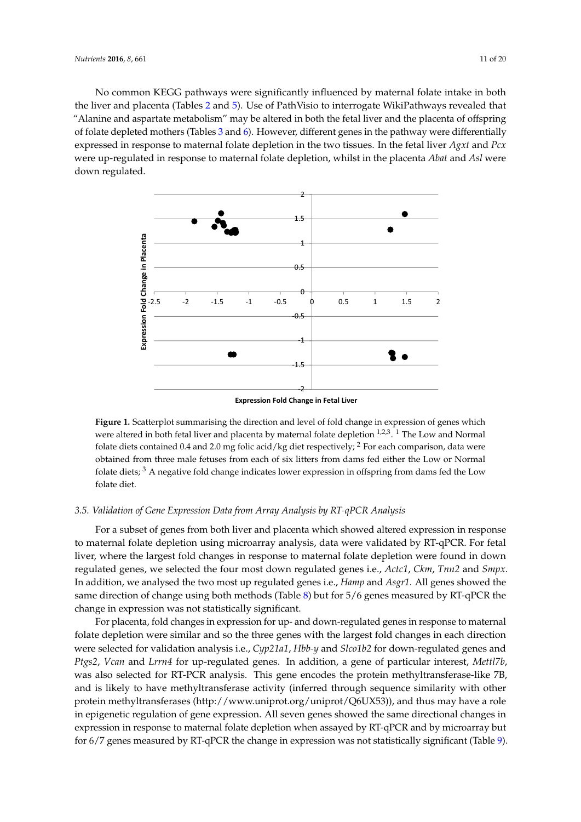No common KEGG pathways were significantly influenced by maternal folate intake in both No common KEGG pathways were significantly influenced by maternal folate intake in both the the liver and placenta (Tables [2](#page-7-1) and [5\)](#page-9-0). Use of PathVisio to interrogate WikiPathways revealed that liver and placenta (Tables 2 and 5). Use of PathVisio to interrogate WikiPathways revealed that "Alanine and aspartate metabolism" may be altered in both the fetal liver and the placenta of offspring "Alanine and aspartate metabolism" may be altered in both the fetal liver and the placenta of of folate depleted mo[the](#page-8-0)rs ([Ta](#page-9-1)bles 3 and 6). However, different genes in the pathway were differentially expressed in response to maternal folate depletion in the two tissues. In the fetal liver *Agxt* and *Pcx* were up-regulated in response to maternal folate depletion, whilst in the placenta Abat and Asl were down regulated.

<span id="page-11-0"></span>

**Figure 1.** Scatterplot summarising the direction and level of fold change in expression of genes which **Figure 1.** Scatterplot summarising the direction and level of fold change in expression of genes which were altered in both fetal liver and placenta by maternal folate depletion  $^{1,2,3}$ . <sup>1</sup> The Low and Normal

folate diets contained 0.4 and 2.0 mg folic acid/kg diet respectively;  $^2$  For each comparison, data were obtained from three male fetuses from each of six litters from dams fed either the Low or Normal folate diets; <sup>3</sup> A negative fold change indicates lower expression in offspring from dams fed the Low *3.5. Validation of Gene Expression Data from Array Analysis by RT‐qPCR Analysis* folate diet.

# 3.5. Validation of Gene Expression Data from Array Analysis by RT-qPCR Analysis

For a subset of genes from both liver and placenta which showed altered expression in response to maternal folate depletion using microarray analysis, data were validated by RT-qPCR. For fetal liver, where the largest fold changes in response to maternal folate depletion were found in down regulated genes, we selected the four most down regulated genes i.e., *Actc1*, *Ckm*, *Tnn2* and *Smpx*. In addition, we analysed the two most up regulated genes i.e., *Hamp* and *Asgr1*. All genes showed the same direction of change using both methods (Table [8\)](#page-12-0) but for 5/6 genes measured by RT-qPCR the change in expression was not statistically significant.

direction were selected for validation analysis i.e., *Cyp21a1*, *Hbb‐y* and *Slco1b2* for down‐regulated For placenta, fold changes in expression for up- and down-regulated genes in response to maternal Formaticular i<br>Profession folate depletion were similar and so the three genes with the largest fold changes in each direction were selected for validation analysis i.e., Cyp21a1, Hbb-y and Slco1b2 for down-regulated genes and Ptgs2, Vcan and Lrrn4 for up-regulated genes. In addition, a gene of particular interest, Mettl7b, was also selected for RT-PCR analysis. This gene encodes the protein methyltransferase-like 7B, and is likely to have methyltransferase activity (inferred through sequence similarity with other protein methyltransferases [\(http://www.uniprot.org/uniprot/Q6UX53\)](http://www.uniprot.org/uniprot/Q6UX53)), and thus may have a role in epigenetic regulation of gene expression. All seven genes showed the same directional changes in expression in response to maternal folate depletion when assayed by RT-qPCR and by microarray but for 6/7 genes measured by RT-qPCR the change in expression was not statistically significant (Table [9\)](#page-12-1).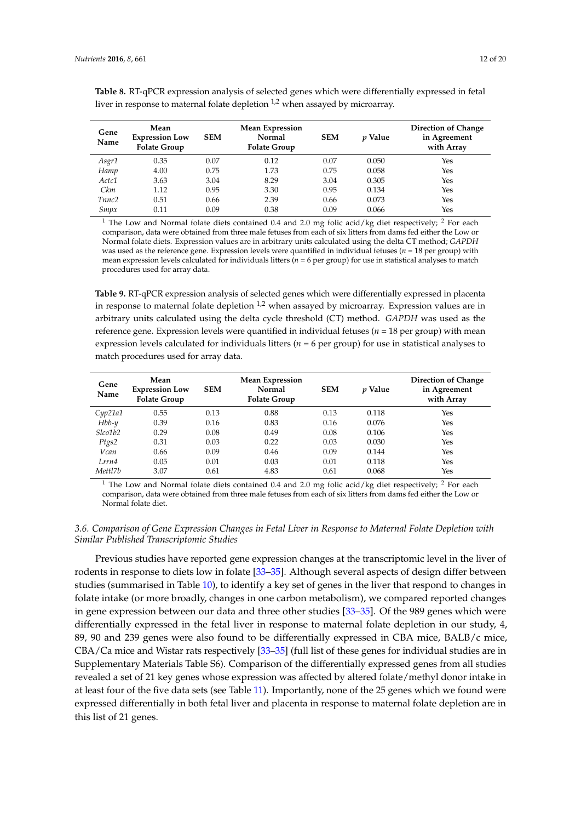| Gene<br>Name | Mean<br><b>Expression Low</b><br><b>Folate Group</b> | <b>SEM</b> | <b>Mean Expression</b><br>Normal<br><b>Folate Group</b> | <b>SEM</b> | <i>v</i> Value | Direction of Change<br>in Agreement<br>with Array |
|--------------|------------------------------------------------------|------------|---------------------------------------------------------|------------|----------------|---------------------------------------------------|
| Asgr1        | 0.35                                                 | 0.07       | 0.12                                                    | 0.07       | 0.050          | Yes                                               |
| Hamp         | 4.00                                                 | 0.75       | 1.73                                                    | 0.75       | 0.058          | Yes                                               |
| Actc1        | 3.63                                                 | 3.04       | 8.29                                                    | 3.04       | 0.305          | Yes                                               |
| Ckm          | 1.12                                                 | 0.95       | 3.30                                                    | 0.95       | 0.134          | Yes                                               |
| Tnnc2        | 0.51                                                 | 0.66       | 2.39                                                    | 0.66       | 0.073          | Yes                                               |
| Smpx         | 0.11                                                 | 0.09       | 0.38                                                    | 0.09       | 0.066          | Yes                                               |

<span id="page-12-0"></span>**Table 8.** RT-qPCR expression analysis of selected genes which were differentially expressed in fetal liver in response to maternal folate depletion  $1/2$  when assayed by microarray.

<sup>1</sup> The Low and Normal folate diets contained 0.4 and 2.0 mg folic acid/kg diet respectively; <sup>2</sup> For each comparison, data were obtained from three male fetuses from each of six litters from dams fed either the Low or Normal folate diets. Expression values are in arbitrary units calculated using the delta CT method; *GAPDH* was used as the reference gene. Expression levels were quantified in individual fetuses (*n* = 18 per group) with mean expression levels calculated for individuals litters (*n* = 6 per group) for use in statistical analyses to match procedures used for array data.

<span id="page-12-1"></span>**Table 9.** RT-qPCR expression analysis of selected genes which were differentially expressed in placenta in response to maternal folate depletion 1,2 when assayed by microarray. Expression values are in arbitrary units calculated using the delta cycle threshold (CT) method. *GAPDH* was used as the reference gene. Expression levels were quantified in individual fetuses (*n* = 18 per group) with mean expression levels calculated for individuals litters (*n* = 6 per group) for use in statistical analyses to match procedures used for array data.

| Gene<br>Name | Mean<br><b>Expression Low</b><br><b>Folate Group</b> | <b>SEM</b> | <b>Mean Expression</b><br>Normal<br><b>Folate Group</b> | <b>SEM</b> | <i>v</i> Value | <b>Direction of Change</b><br>in Agreement<br>with Array |
|--------------|------------------------------------------------------|------------|---------------------------------------------------------|------------|----------------|----------------------------------------------------------|
| Cyp21a1      | 0.55                                                 | 0.13       | 0.88                                                    | 0.13       | 0.118          | Yes                                                      |
| $Hbb-y$      | 0.39                                                 | 0.16       | 0.83                                                    | 0.16       | 0.076          | Yes                                                      |
| Slco1b2      | 0.29                                                 | 0.08       | 0.49                                                    | 0.08       | 0.106          | Yes                                                      |
| Ptgs2        | 0.31                                                 | 0.03       | 0.22                                                    | 0.03       | 0.030          | Yes                                                      |
| Vcan         | 0.66                                                 | 0.09       | 0.46                                                    | 0.09       | 0.144          | Yes                                                      |
| I.rrn4       | 0.05                                                 | 0.01       | 0.03                                                    | 0.01       | 0.118          | Yes                                                      |
| Mettl7b      | 3.07                                                 | 0.61       | 4.83                                                    | 0.61       | 0.068          | Yes                                                      |

<sup>1</sup> The Low and Normal folate diets contained 0.4 and 2.0 mg folic acid/kg diet respectively;  $^2$  For each comparison, data were obtained from three male fetuses from each of six litters from dams fed either the Low or Normal folate diet.

#### *3.6. Comparison of Gene Expression Changes in Fetal Liver in Response to Maternal Folate Depletion with Similar Published Transcriptomic Studies*

Previous studies have reported gene expression changes at the transcriptomic level in the liver of rodents in response to diets low in folate [\[33–](#page-19-11)[35\]](#page-19-12). Although several aspects of design differ between studies (summarised in Table [10\)](#page-13-0), to identify a key set of genes in the liver that respond to changes in folate intake (or more broadly, changes in one carbon metabolism), we compared reported changes in gene expression between our data and three other studies [\[33](#page-19-11)[–35\]](#page-19-12). Of the 989 genes which were differentially expressed in the fetal liver in response to maternal folate depletion in our study, 4, 89, 90 and 239 genes were also found to be differentially expressed in CBA mice, BALB/c mice, CBA/Ca mice and Wistar rats respectively [\[33](#page-19-11)[–35\]](#page-19-12) (full list of these genes for individual studies are in Supplementary Materials Table S6). Comparison of the differentially expressed genes from all studies revealed a set of 21 key genes whose expression was affected by altered folate/methyl donor intake in at least four of the five data sets (see Table [11\)](#page-14-0). Importantly, none of the 25 genes which we found were expressed differentially in both fetal liver and placenta in response to maternal folate depletion are in this list of 21 genes.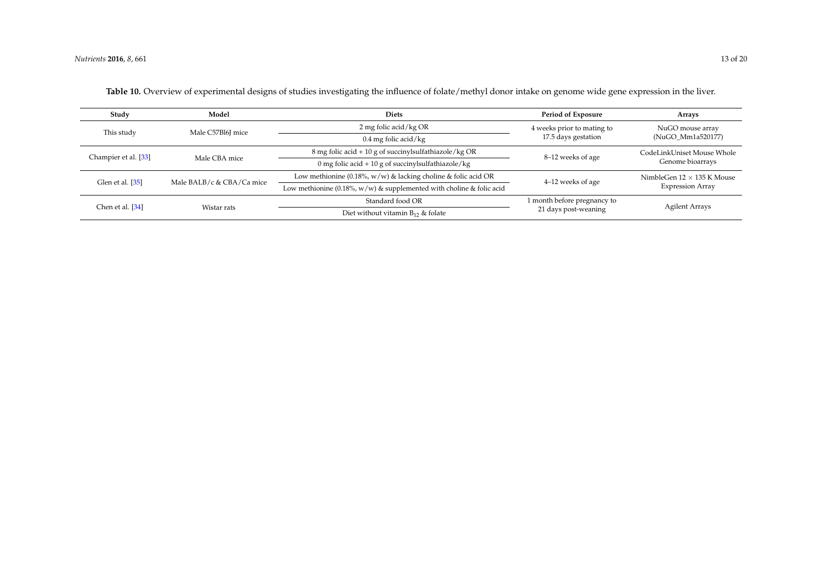<span id="page-13-0"></span>

| Study                | Model                     | <b>Diets</b>                                                            | Period of Exposure          | Arrays                                                       |
|----------------------|---------------------------|-------------------------------------------------------------------------|-----------------------------|--------------------------------------------------------------|
| This study           | Male C57Bl6J mice         | 2 mg folic acid/kg OR                                                   | 4 weeks prior to mating to  | NuGO mouse array<br>(NuGO_Mm1a520177)                        |
|                      |                           | $0.4$ mg folic acid/kg                                                  | 17.5 days gestation         |                                                              |
| Champier et al. [33] | Male CBA mice             | 8 mg folic acid + 10 g of succinylsulfathiazole/kg OR                   | 8–12 weeks of age           | CodeLinkUniset Mouse Whole<br>Genome bioarrays               |
|                      |                           | 0 mg folic acid + 10 g of succinylsulfathiazole/kg                      |                             |                                                              |
| Glen et al. [35]     | Male BALB/c & CBA/Ca mice | Low methionine (0.18%, w/w) & lacking choline & folic acid OR           | 4–12 weeks of age           | NimbleGen $12 \times 135$ K Mouse<br><b>Expression Array</b> |
|                      |                           | Low methionine (0.18%, $w/w$ ) & supplemented with choline & folic acid |                             |                                                              |
| Chen et al. [34]     | Wistar rats               | Standard food OR                                                        | l month before pregnancy to | <b>Agilent Arrays</b>                                        |
|                      |                           | Diet without vitamin $B_{12}$ & folate                                  | 21 days post-weaning        |                                                              |

**Table 10.** Overview of experimental designs of studies investigating the influence of folate/methyl donor intake on genome wide gene expression in the liver.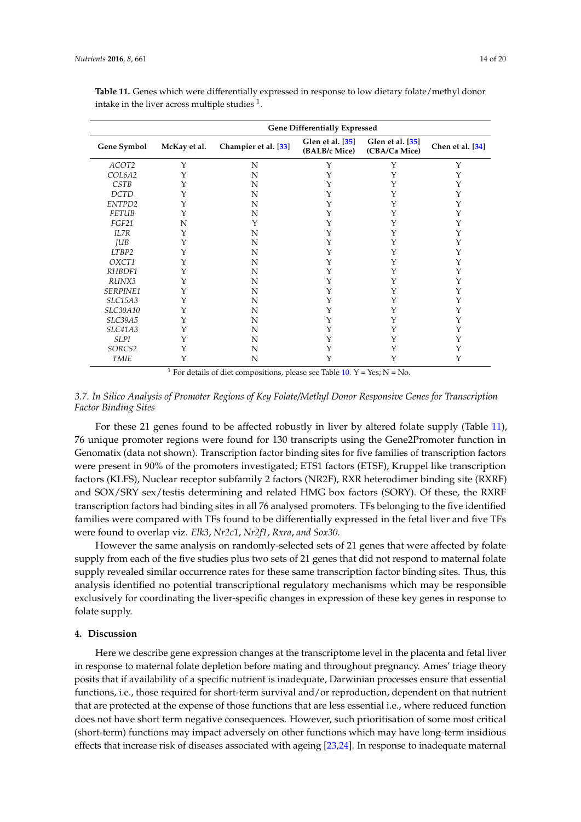|                | <b>Gene Differentially Expressed</b> |                      |                                   |                                   |                    |  |  |  |
|----------------|--------------------------------------|----------------------|-----------------------------------|-----------------------------------|--------------------|--|--|--|
| Gene Symbol    | McKay et al.                         | Champier et al. [33] | Glen et al. [35]<br>(BALB/c Mice) | Glen et al. [35]<br>(CBA/Ca Mice) | Chen et al. $[34]$ |  |  |  |
| ACOT2          | Y                                    | N                    | Y                                 | Y                                 | Y                  |  |  |  |
| COL6A2         | Y                                    | N                    | Y                                 | Y                                 | Y                  |  |  |  |
| <b>CSTB</b>    | Y                                    | N                    | Y                                 | Y                                 | Υ                  |  |  |  |
| DCTD           | Y                                    | N                    | Y                                 | Y                                 | Y                  |  |  |  |
| ENTPD2         | Y                                    | N                    | Y                                 | Y                                 | Y                  |  |  |  |
| <b>FETUB</b>   | Y                                    | N                    | Y                                 | Y                                 | Y                  |  |  |  |
| FGF21          | N                                    | Y                    | Y                                 | Y                                 | Y                  |  |  |  |
| IL7R           | Y                                    | N                    | Υ                                 | Y                                 | Y                  |  |  |  |
| JUB            | Y                                    | N                    | Y                                 | Y                                 | Y                  |  |  |  |
| LTBP2          | Y                                    | N                    | Y                                 | Y                                 | Y                  |  |  |  |
| OXCT1          | Y                                    | N                    | Y                                 | Y                                 | Y                  |  |  |  |
| RHBDF1         | Y                                    | N                    | Y                                 | Y                                 | Y                  |  |  |  |
| RUNX3          | Y                                    | N                    | Y                                 | Y                                 | Y                  |  |  |  |
| SERPINE1       | Y                                    | N                    | Y                                 | Υ                                 | Υ                  |  |  |  |
| SLC15A3        | Y                                    | N                    | Y                                 | Y                                 | Υ                  |  |  |  |
| SLC30A10       | Y                                    | N                    | Y                                 | Y                                 | Y                  |  |  |  |
| SLC39A5        | Y                                    | N                    | Y                                 | Y                                 | Y                  |  |  |  |
| <b>SLC41A3</b> | Y                                    | N                    | Y                                 | Y                                 | Υ                  |  |  |  |
| <b>SLPI</b>    | Y                                    | N                    | Y                                 | Y                                 | Y                  |  |  |  |
| SORCS2         | Y                                    | N                    | Y                                 | Y                                 | Y                  |  |  |  |
| <b>TMIE</b>    | Y                                    | N                    | Y                                 | Y                                 | Y                  |  |  |  |

<span id="page-14-0"></span>**Table 11.** Genes which were differentially expressed in response to low dietary folate/methyl donor intake in the liver across multiple studies  $^1$ .

<sup>1</sup> For details of diet compositions, please see Table [10.](#page-13-0)  $Y = Yes; N = No$ .

#### *3.7. In Silico Analysis of Promoter Regions of Key Folate/Methyl Donor Responsive Genes for Transcription Factor Binding Sites*

For these 21 genes found to be affected robustly in liver by altered folate supply (Table [11\)](#page-14-0), 76 unique promoter regions were found for 130 transcripts using the Gene2Promoter function in Genomatix (data not shown). Transcription factor binding sites for five families of transcription factors were present in 90% of the promoters investigated; ETS1 factors (ETSF), Kruppel like transcription factors (KLFS), Nuclear receptor subfamily 2 factors (NR2F), RXR heterodimer binding site (RXRF) and SOX/SRY sex/testis determining and related HMG box factors (SORY). Of these, the RXRF transcription factors had binding sites in all 76 analysed promoters. TFs belonging to the five identified families were compared with TFs found to be differentially expressed in the fetal liver and five TFs were found to overlap viz. *Elk3*, *Nr2c1*, *Nr2f1*, *Rxra*, *and Sox30.*

However the same analysis on randomly-selected sets of 21 genes that were affected by folate supply from each of the five studies plus two sets of 21 genes that did not respond to maternal folate supply revealed similar occurrence rates for these same transcription factor binding sites. Thus, this analysis identified no potential transcriptional regulatory mechanisms which may be responsible exclusively for coordinating the liver-specific changes in expression of these key genes in response to folate supply.

#### **4. Discussion**

Here we describe gene expression changes at the transcriptome level in the placenta and fetal liver in response to maternal folate depletion before mating and throughout pregnancy. Ames' triage theory posits that if availability of a specific nutrient is inadequate, Darwinian processes ensure that essential functions, i.e., those required for short-term survival and/or reproduction, dependent on that nutrient that are protected at the expense of those functions that are less essential i.e., where reduced function does not have short term negative consequences. However, such prioritisation of some most critical (short-term) functions may impact adversely on other functions which may have long-term insidious effects that increase risk of diseases associated with ageing [\[23](#page-19-1)[,24\]](#page-19-2). In response to inadequate maternal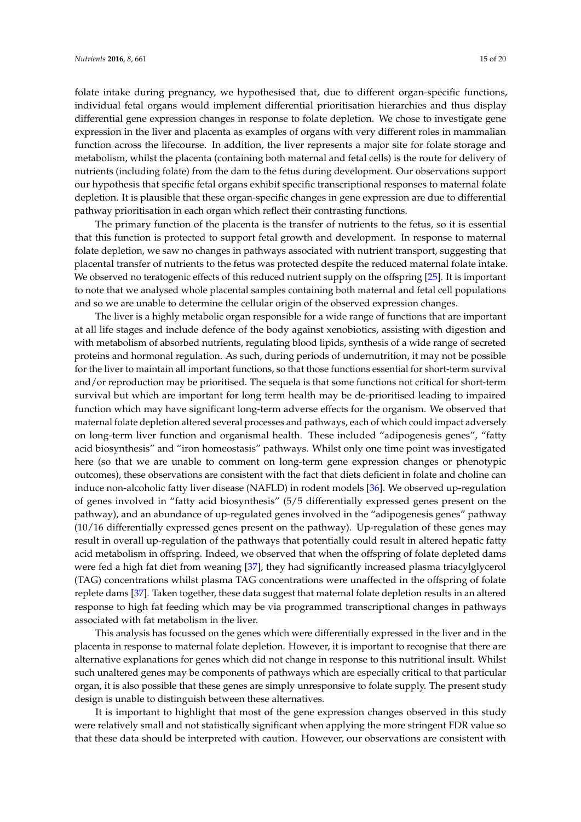folate intake during pregnancy, we hypothesised that, due to different organ-specific functions, individual fetal organs would implement differential prioritisation hierarchies and thus display differential gene expression changes in response to folate depletion. We chose to investigate gene expression in the liver and placenta as examples of organs with very different roles in mammalian function across the lifecourse. In addition, the liver represents a major site for folate storage and metabolism, whilst the placenta (containing both maternal and fetal cells) is the route for delivery of nutrients (including folate) from the dam to the fetus during development. Our observations support our hypothesis that specific fetal organs exhibit specific transcriptional responses to maternal folate depletion. It is plausible that these organ-specific changes in gene expression are due to differential pathway prioritisation in each organ which reflect their contrasting functions.

The primary function of the placenta is the transfer of nutrients to the fetus, so it is essential that this function is protected to support fetal growth and development. In response to maternal folate depletion, we saw no changes in pathways associated with nutrient transport, suggesting that placental transfer of nutrients to the fetus was protected despite the reduced maternal folate intake. We observed no teratogenic effects of this reduced nutrient supply on the offspring [\[25\]](#page-19-3). It is important to note that we analysed whole placental samples containing both maternal and fetal cell populations and so we are unable to determine the cellular origin of the observed expression changes.

The liver is a highly metabolic organ responsible for a wide range of functions that are important at all life stages and include defence of the body against xenobiotics, assisting with digestion and with metabolism of absorbed nutrients, regulating blood lipids, synthesis of a wide range of secreted proteins and hormonal regulation. As such, during periods of undernutrition, it may not be possible for the liver to maintain all important functions, so that those functions essential for short-term survival and/or reproduction may be prioritised. The sequela is that some functions not critical for short-term survival but which are important for long term health may be de-prioritised leading to impaired function which may have significant long-term adverse effects for the organism. We observed that maternal folate depletion altered several processes and pathways, each of which could impact adversely on long-term liver function and organismal health. These included "adipogenesis genes", "fatty acid biosynthesis" and "iron homeostasis" pathways. Whilst only one time point was investigated here (so that we are unable to comment on long-term gene expression changes or phenotypic outcomes), these observations are consistent with the fact that diets deficient in folate and choline can induce non-alcoholic fatty liver disease (NAFLD) in rodent models [\[36\]](#page-19-17). We observed up-regulation of genes involved in "fatty acid biosynthesis" (5/5 differentially expressed genes present on the pathway), and an abundance of up-regulated genes involved in the "adipogenesis genes" pathway (10/16 differentially expressed genes present on the pathway). Up-regulation of these genes may result in overall up-regulation of the pathways that potentially could result in altered hepatic fatty acid metabolism in offspring. Indeed, we observed that when the offspring of folate depleted dams were fed a high fat diet from weaning [\[37\]](#page-19-18), they had significantly increased plasma triacylglycerol (TAG) concentrations whilst plasma TAG concentrations were unaffected in the offspring of folate replete dams [\[37\]](#page-19-18). Taken together, these data suggest that maternal folate depletion results in an altered response to high fat feeding which may be via programmed transcriptional changes in pathways associated with fat metabolism in the liver.

This analysis has focussed on the genes which were differentially expressed in the liver and in the placenta in response to maternal folate depletion. However, it is important to recognise that there are alternative explanations for genes which did not change in response to this nutritional insult. Whilst such unaltered genes may be components of pathways which are especially critical to that particular organ, it is also possible that these genes are simply unresponsive to folate supply. The present study design is unable to distinguish between these alternatives.

It is important to highlight that most of the gene expression changes observed in this study were relatively small and not statistically significant when applying the more stringent FDR value so that these data should be interpreted with caution. However, our observations are consistent with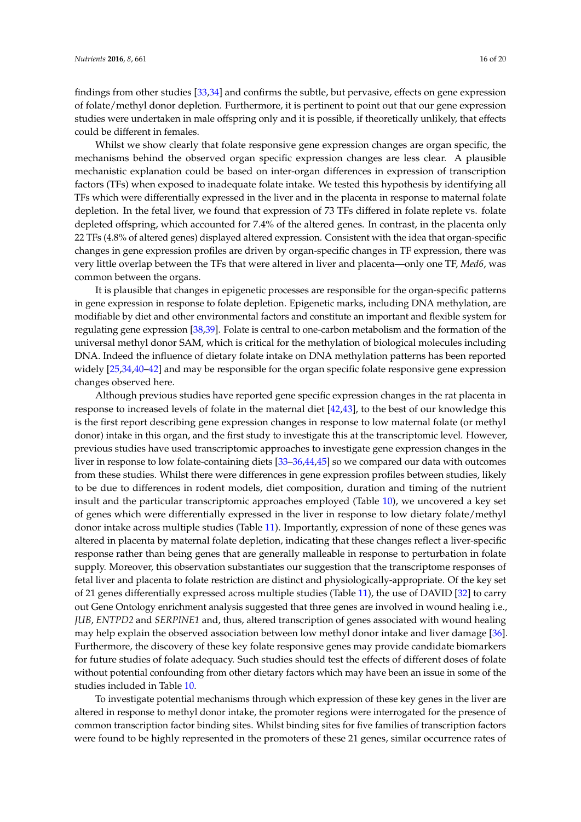findings from other studies [\[33,](#page-19-11)[34\]](#page-19-16) and confirms the subtle, but pervasive, effects on gene expression of folate/methyl donor depletion. Furthermore, it is pertinent to point out that our gene expression studies were undertaken in male offspring only and it is possible, if theoretically unlikely, that effects could be different in females.

Whilst we show clearly that folate responsive gene expression changes are organ specific, the mechanisms behind the observed organ specific expression changes are less clear. A plausible mechanistic explanation could be based on inter-organ differences in expression of transcription factors (TFs) when exposed to inadequate folate intake. We tested this hypothesis by identifying all TFs which were differentially expressed in the liver and in the placenta in response to maternal folate depletion. In the fetal liver, we found that expression of 73 TFs differed in folate replete vs. folate depleted offspring, which accounted for 7.4% of the altered genes. In contrast, in the placenta only 22 TFs (4.8% of altered genes) displayed altered expression. Consistent with the idea that organ-specific changes in gene expression profiles are driven by organ-specific changes in TF expression, there was very little overlap between the TFs that were altered in liver and placenta—only one TF, *Med6*, was common between the organs.

It is plausible that changes in epigenetic processes are responsible for the organ-specific patterns in gene expression in response to folate depletion. Epigenetic marks, including DNA methylation, are modifiable by diet and other environmental factors and constitute an important and flexible system for regulating gene expression [\[38](#page-19-19)[,39\]](#page-19-20). Folate is central to one-carbon metabolism and the formation of the universal methyl donor SAM, which is critical for the methylation of biological molecules including DNA. Indeed the influence of dietary folate intake on DNA methylation patterns has been reported widely [\[25,](#page-19-3)[34,](#page-19-16)[40](#page-19-21)[–42\]](#page-20-0) and may be responsible for the organ specific folate responsive gene expression changes observed here.

Although previous studies have reported gene specific expression changes in the rat placenta in response to increased levels of folate in the maternal diet [\[42](#page-20-0)[,43\]](#page-20-1), to the best of our knowledge this is the first report describing gene expression changes in response to low maternal folate (or methyl donor) intake in this organ, and the first study to investigate this at the transcriptomic level. However, previous studies have used transcriptomic approaches to investigate gene expression changes in the liver in response to low folate-containing diets [\[33](#page-19-11)[–36](#page-19-17)[,44](#page-20-2)[,45\]](#page-20-3) so we compared our data with outcomes from these studies. Whilst there were differences in gene expression profiles between studies, likely to be due to differences in rodent models, diet composition, duration and timing of the nutrient insult and the particular transcriptomic approaches employed (Table [10\)](#page-13-0), we uncovered a key set of genes which were differentially expressed in the liver in response to low dietary folate/methyl donor intake across multiple studies (Table [11\)](#page-14-0). Importantly, expression of none of these genes was altered in placenta by maternal folate depletion, indicating that these changes reflect a liver-specific response rather than being genes that are generally malleable in response to perturbation in folate supply. Moreover, this observation substantiates our suggestion that the transcriptome responses of fetal liver and placenta to folate restriction are distinct and physiologically-appropriate. Of the key set of 21 genes differentially expressed across multiple studies (Table [11\)](#page-14-0), the use of DAVID [\[32\]](#page-19-10) to carry out Gene Ontology enrichment analysis suggested that three genes are involved in wound healing i.e., *JUB*, *ENTPD2* and *SERPINE1* and, thus, altered transcription of genes associated with wound healing may help explain the observed association between low methyl donor intake and liver damage [\[36\]](#page-19-17). Furthermore, the discovery of these key folate responsive genes may provide candidate biomarkers for future studies of folate adequacy. Such studies should test the effects of different doses of folate without potential confounding from other dietary factors which may have been an issue in some of the studies included in Table [10.](#page-13-0)

To investigate potential mechanisms through which expression of these key genes in the liver are altered in response to methyl donor intake, the promoter regions were interrogated for the presence of common transcription factor binding sites. Whilst binding sites for five families of transcription factors were found to be highly represented in the promoters of these 21 genes, similar occurrence rates of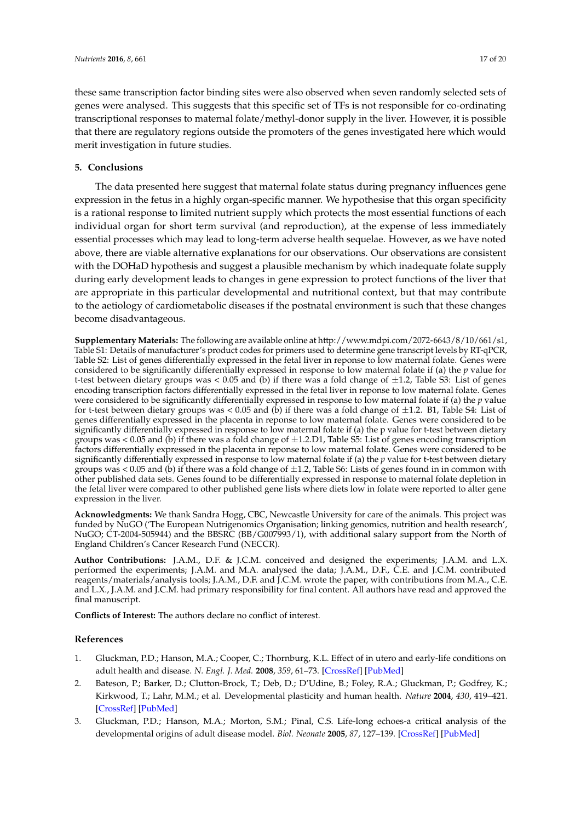these same transcription factor binding sites were also observed when seven randomly selected sets of genes were analysed. This suggests that this specific set of TFs is not responsible for co-ordinating transcriptional responses to maternal folate/methyl-donor supply in the liver. However, it is possible that there are regulatory regions outside the promoters of the genes investigated here which would merit investigation in future studies.

#### **5. Conclusions**

The data presented here suggest that maternal folate status during pregnancy influences gene expression in the fetus in a highly organ-specific manner. We hypothesise that this organ specificity is a rational response to limited nutrient supply which protects the most essential functions of each individual organ for short term survival (and reproduction), at the expense of less immediately essential processes which may lead to long-term adverse health sequelae. However, as we have noted above, there are viable alternative explanations for our observations. Our observations are consistent with the DOHaD hypothesis and suggest a plausible mechanism by which inadequate folate supply during early development leads to changes in gene expression to protect functions of the liver that are appropriate in this particular developmental and nutritional context, but that may contribute to the aetiology of cardiometabolic diseases if the postnatal environment is such that these changes become disadvantageous.

**Supplementary Materials:** The following are available online at [http://www.mdpi.com/2072-6643/8/10/661/s1,](http://www.mdpi.com/2072-6643/8/10/661/s1) Table S1: Details of manufacturer's product codes for primers used to determine gene transcript levels by RT-qPCR, Table S2: List of genes differentially expressed in the fetal liver in reponse to low maternal folate. Genes were considered to be significantly differentially expressed in response to low maternal folate if (a) the *p* value for t-test between dietary groups was  $< 0.05$  and (b) if there was a fold change of  $\pm 1.2$ , Table S3: List of genes encoding transcription factors differentially expressed in the fetal liver in reponse to low maternal folate. Genes were considered to be significantly differentially expressed in response to low maternal folate if (a) the *p* value for t-test between dietary groups was  $< 0.05$  and (b) if there was a fold change of  $\pm 1.2$ . B1, Table S4: List of genes differentially expressed in the placenta in reponse to low maternal folate. Genes were considered to be significantly differentially expressed in response to low maternal folate if (a) the p value for t-test between dietary groups was  $< 0.05$  and (b) if there was a fold change of  $\pm 1.2$ . D1, Table S5: List of genes encoding transcription factors differentially expressed in the placenta in reponse to low maternal folate. Genes were considered to be significantly differentially expressed in response to low maternal folate if (a) the *p* value for t-test between dietary groups was  $< 0.05$  and (b) if there was a fold change of  $\pm 1.2$ , Table S6: Lists of genes found in in common with other published data sets. Genes found to be differentially expressed in response to maternal folate depletion in the fetal liver were compared to other published gene lists where diets low in folate were reported to alter gene expression in the liver.

**Acknowledgments:** We thank Sandra Hogg, CBC, Newcastle University for care of the animals. This project was funded by NuGO ('The European Nutrigenomics Organisation; linking genomics, nutrition and health research', NuGO; CT-2004-505944) and the BBSRC (BB/G007993/1), with additional salary support from the North of England Children's Cancer Research Fund (NECCR).

**Author Contributions:** J.A.M., D.F. & J.C.M. conceived and designed the experiments; J.A.M. and L.X. performed the experiments; J.A.M. and M.A. analysed the data; J.A.M., D.F., C.E. and J.C.M. contributed reagents/materials/analysis tools; J.A.M., D.F. and J.C.M. wrote the paper, with contributions from M.A., C.E. and L.X., J.A.M. and J.C.M. had primary responsibility for final content. All authors have read and approved the final manuscript.

**Conflicts of Interest:** The authors declare no conflict of interest.

#### **References**

- <span id="page-17-0"></span>1. Gluckman, P.D.; Hanson, M.A.; Cooper, C.; Thornburg, K.L. Effect of in utero and early-life conditions on adult health and disease. *N. Engl. J. Med.* **2008**, *359*, 61–73. [\[CrossRef\]](http://dx.doi.org/10.1056/NEJMra0708473) [\[PubMed\]](http://www.ncbi.nlm.nih.gov/pubmed/18596274)
- <span id="page-17-1"></span>2. Bateson, P.; Barker, D.; Clutton-Brock, T.; Deb, D.; D'Udine, B.; Foley, R.A.; Gluckman, P.; Godfrey, K.; Kirkwood, T.; Lahr, M.M.; et al. Developmental plasticity and human health. *Nature* **2004**, *430*, 419–421. [\[CrossRef\]](http://dx.doi.org/10.1038/nature02725) [\[PubMed\]](http://www.ncbi.nlm.nih.gov/pubmed/15269759)
- <span id="page-17-2"></span>3. Gluckman, P.D.; Hanson, M.A.; Morton, S.M.; Pinal, C.S. Life-long echoes-a critical analysis of the developmental origins of adult disease model. *Biol. Neonate* **2005**, *87*, 127–139. [\[CrossRef\]](http://dx.doi.org/10.1159/000082311) [\[PubMed\]](http://www.ncbi.nlm.nih.gov/pubmed/15564779)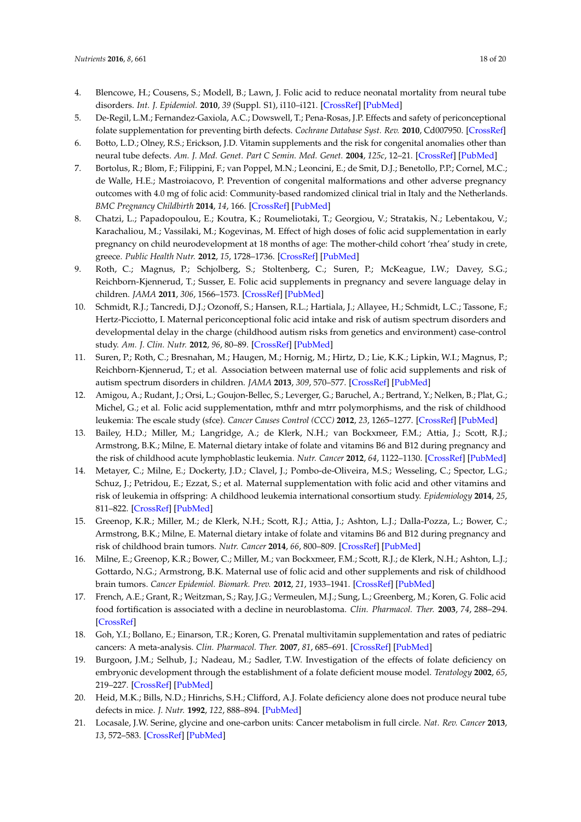- <span id="page-18-0"></span>4. Blencowe, H.; Cousens, S.; Modell, B.; Lawn, J. Folic acid to reduce neonatal mortality from neural tube disorders. *Int. J. Epidemiol.* **2010**, *39* (Suppl. S1), i110–i121. [\[CrossRef\]](http://dx.doi.org/10.1093/ije/dyq028) [\[PubMed\]](http://www.ncbi.nlm.nih.gov/pubmed/20348114)
- <span id="page-18-1"></span>5. De-Regil, L.M.; Fernandez-Gaxiola, A.C.; Dowswell, T.; Pena-Rosas, J.P. Effects and safety of periconceptional folate supplementation for preventing birth defects. *Cochrane Database Syst. Rev.* **2010**, Cd007950. [\[CrossRef\]](http://dx.doi.org/10.1002/14651858.CD007950.pub2)
- <span id="page-18-2"></span>6. Botto, L.D.; Olney, R.S.; Erickson, J.D. Vitamin supplements and the risk for congenital anomalies other than neural tube defects. *Am. J. Med. Genet. Part C Semin. Med. Genet.* **2004**, *125c*, 12–21. [\[CrossRef\]](http://dx.doi.org/10.1002/ajmg.c.30004) [\[PubMed\]](http://www.ncbi.nlm.nih.gov/pubmed/14755429)
- <span id="page-18-3"></span>7. Bortolus, R.; Blom, F.; Filippini, F.; van Poppel, M.N.; Leoncini, E.; de Smit, D.J.; Benetollo, P.P.; Cornel, M.C.; de Walle, H.E.; Mastroiacovo, P. Prevention of congenital malformations and other adverse pregnancy outcomes with 4.0 mg of folic acid: Community-based randomized clinical trial in Italy and the Netherlands. *BMC Pregnancy Childbirth* **2014**, *14*, 166. [\[CrossRef\]](http://dx.doi.org/10.1186/1471-2393-14-166) [\[PubMed\]](http://www.ncbi.nlm.nih.gov/pubmed/24884885)
- <span id="page-18-4"></span>8. Chatzi, L.; Papadopoulou, E.; Koutra, K.; Roumeliotaki, T.; Georgiou, V.; Stratakis, N.; Lebentakou, V.; Karachaliou, M.; Vassilaki, M.; Kogevinas, M. Effect of high doses of folic acid supplementation in early pregnancy on child neurodevelopment at 18 months of age: The mother-child cohort 'rhea' study in crete, greece. *Public Health Nutr.* **2012**, *15*, 1728–1736. [\[CrossRef\]](http://dx.doi.org/10.1017/S1368980012000067) [\[PubMed\]](http://www.ncbi.nlm.nih.gov/pubmed/22314109)
- <span id="page-18-5"></span>9. Roth, C.; Magnus, P.; Schjolberg, S.; Stoltenberg, C.; Suren, P.; McKeague, I.W.; Davey, S.G.; Reichborn-Kjennerud, T.; Susser, E. Folic acid supplements in pregnancy and severe language delay in children. *JAMA* **2011**, *306*, 1566–1573. [\[CrossRef\]](http://dx.doi.org/10.1001/jama.2011.1433) [\[PubMed\]](http://www.ncbi.nlm.nih.gov/pubmed/21990300)
- <span id="page-18-6"></span>10. Schmidt, R.J.; Tancredi, D.J.; Ozonoff, S.; Hansen, R.L.; Hartiala, J.; Allayee, H.; Schmidt, L.C.; Tassone, F.; Hertz-Picciotto, I. Maternal periconceptional folic acid intake and risk of autism spectrum disorders and developmental delay in the charge (childhood autism risks from genetics and environment) case-control study. *Am. J. Clin. Nutr.* **2012**, *96*, 80–89. [\[CrossRef\]](http://dx.doi.org/10.3945/ajcn.110.004416) [\[PubMed\]](http://www.ncbi.nlm.nih.gov/pubmed/22648721)
- <span id="page-18-7"></span>11. Suren, P.; Roth, C.; Bresnahan, M.; Haugen, M.; Hornig, M.; Hirtz, D.; Lie, K.K.; Lipkin, W.I.; Magnus, P.; Reichborn-Kjennerud, T.; et al. Association between maternal use of folic acid supplements and risk of autism spectrum disorders in children. *JAMA* **2013**, *309*, 570–577. [\[CrossRef\]](http://dx.doi.org/10.1001/jama.2012.155925) [\[PubMed\]](http://www.ncbi.nlm.nih.gov/pubmed/23403681)
- <span id="page-18-8"></span>12. Amigou, A.; Rudant, J.; Orsi, L.; Goujon-Bellec, S.; Leverger, G.; Baruchel, A.; Bertrand, Y.; Nelken, B.; Plat, G.; Michel, G.; et al. Folic acid supplementation, mthfr and mtrr polymorphisms, and the risk of childhood leukemia: The escale study (sfce). *Cancer Causes Control (CCC)* **2012**, *23*, 1265–1277. [\[CrossRef\]](http://dx.doi.org/10.1007/s10552-012-0004-0) [\[PubMed\]](http://www.ncbi.nlm.nih.gov/pubmed/22706675)
- 13. Bailey, H.D.; Miller, M.; Langridge, A.; de Klerk, N.H.; van Bockxmeer, F.M.; Attia, J.; Scott, R.J.; Armstrong, B.K.; Milne, E. Maternal dietary intake of folate and vitamins B6 and B12 during pregnancy and the risk of childhood acute lymphoblastic leukemia. *Nutr. Cancer* **2012**, *64*, 1122–1130. [\[CrossRef\]](http://dx.doi.org/10.1080/01635581.2012.707278) [\[PubMed\]](http://www.ncbi.nlm.nih.gov/pubmed/22966944)
- <span id="page-18-9"></span>14. Metayer, C.; Milne, E.; Dockerty, J.D.; Clavel, J.; Pombo-de-Oliveira, M.S.; Wesseling, C.; Spector, L.G.; Schuz, J.; Petridou, E.; Ezzat, S.; et al. Maternal supplementation with folic acid and other vitamins and risk of leukemia in offspring: A childhood leukemia international consortium study. *Epidemiology* **2014**, *25*, 811–822. [\[CrossRef\]](http://dx.doi.org/10.1097/EDE.0000000000000141) [\[PubMed\]](http://www.ncbi.nlm.nih.gov/pubmed/25207954)
- <span id="page-18-10"></span>15. Greenop, K.R.; Miller, M.; de Klerk, N.H.; Scott, R.J.; Attia, J.; Ashton, L.J.; Dalla-Pozza, L.; Bower, C.; Armstrong, B.K.; Milne, E. Maternal dietary intake of folate and vitamins B6 and B12 during pregnancy and risk of childhood brain tumors. *Nutr. Cancer* **2014**, *66*, 800–809. [\[CrossRef\]](http://dx.doi.org/10.1080/01635581.2014.916326) [\[PubMed\]](http://www.ncbi.nlm.nih.gov/pubmed/24897174)
- <span id="page-18-11"></span>16. Milne, E.; Greenop, K.R.; Bower, C.; Miller, M.; van Bockxmeer, F.M.; Scott, R.J.; de Klerk, N.H.; Ashton, L.J.; Gottardo, N.G.; Armstrong, B.K. Maternal use of folic acid and other supplements and risk of childhood brain tumors. *Cancer Epidemiol. Biomark. Prev.* **2012**, *21*, 1933–1941. [\[CrossRef\]](http://dx.doi.org/10.1158/1055-9965.EPI-12-0803) [\[PubMed\]](http://www.ncbi.nlm.nih.gov/pubmed/22941336)
- <span id="page-18-12"></span>17. French, A.E.; Grant, R.; Weitzman, S.; Ray, J.G.; Vermeulen, M.J.; Sung, L.; Greenberg, M.; Koren, G. Folic acid food fortification is associated with a decline in neuroblastoma. *Clin. Pharmacol. Ther.* **2003**, *74*, 288–294. [\[CrossRef\]](http://dx.doi.org/10.1016/S0009-9236(03)00200-5)
- <span id="page-18-13"></span>18. Goh, Y.I.; Bollano, E.; Einarson, T.R.; Koren, G. Prenatal multivitamin supplementation and rates of pediatric cancers: A meta-analysis. *Clin. Pharmacol. Ther.* **2007**, *81*, 685–691. [\[CrossRef\]](http://dx.doi.org/10.1038/sj.clpt.6100100) [\[PubMed\]](http://www.ncbi.nlm.nih.gov/pubmed/17314929)
- <span id="page-18-14"></span>19. Burgoon, J.M.; Selhub, J.; Nadeau, M.; Sadler, T.W. Investigation of the effects of folate deficiency on embryonic development through the establishment of a folate deficient mouse model. *Teratology* **2002**, *65*, 219–227. [\[CrossRef\]](http://dx.doi.org/10.1002/tera.10040) [\[PubMed\]](http://www.ncbi.nlm.nih.gov/pubmed/11967921)
- <span id="page-18-15"></span>20. Heid, M.K.; Bills, N.D.; Hinrichs, S.H.; Clifford, A.J. Folate deficiency alone does not produce neural tube defects in mice. *J. Nutr.* **1992**, *122*, 888–894. [\[PubMed\]](http://www.ncbi.nlm.nih.gov/pubmed/1552363)
- <span id="page-18-16"></span>21. Locasale, J.W. Serine, glycine and one-carbon units: Cancer metabolism in full circle. *Nat. Rev. Cancer* **2013**, *13*, 572–583. [\[CrossRef\]](http://dx.doi.org/10.1038/nrc3557) [\[PubMed\]](http://www.ncbi.nlm.nih.gov/pubmed/23822983)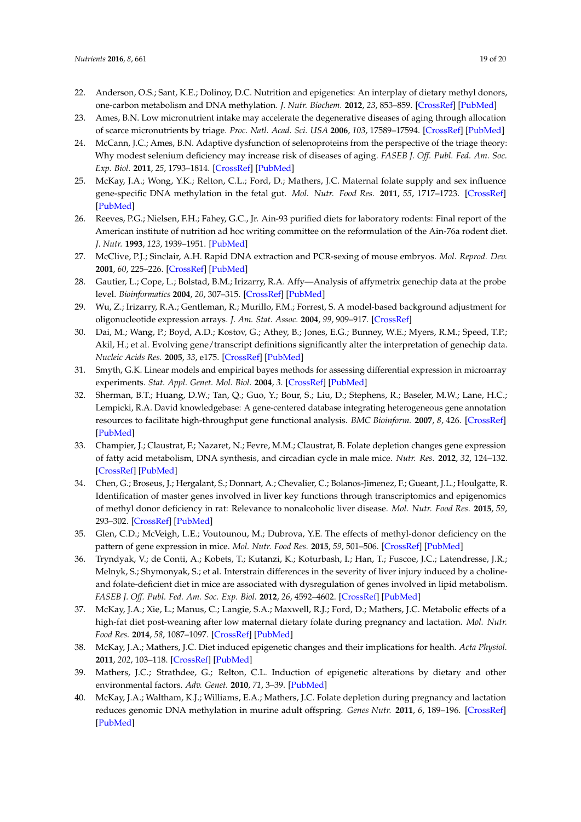- <span id="page-19-0"></span>22. Anderson, O.S.; Sant, K.E.; Dolinoy, D.C. Nutrition and epigenetics: An interplay of dietary methyl donors, one-carbon metabolism and DNA methylation. *J. Nutr. Biochem.* **2012**, *23*, 853–859. [\[CrossRef\]](http://dx.doi.org/10.1016/j.jnutbio.2012.03.003) [\[PubMed\]](http://www.ncbi.nlm.nih.gov/pubmed/22749138)
- <span id="page-19-1"></span>23. Ames, B.N. Low micronutrient intake may accelerate the degenerative diseases of aging through allocation of scarce micronutrients by triage. *Proc. Natl. Acad. Sci. USA* **2006**, *103*, 17589–17594. [\[CrossRef\]](http://dx.doi.org/10.1073/pnas.0608757103) [\[PubMed\]](http://www.ncbi.nlm.nih.gov/pubmed/17101959)
- <span id="page-19-2"></span>24. McCann, J.C.; Ames, B.N. Adaptive dysfunction of selenoproteins from the perspective of the triage theory: Why modest selenium deficiency may increase risk of diseases of aging. *FASEB J. Off. Publ. Fed. Am. Soc. Exp. Biol.* **2011**, *25*, 1793–1814. [\[CrossRef\]](http://dx.doi.org/10.1096/fj.11-180885) [\[PubMed\]](http://www.ncbi.nlm.nih.gov/pubmed/21402715)
- <span id="page-19-3"></span>25. McKay, J.A.; Wong, Y.K.; Relton, C.L.; Ford, D.; Mathers, J.C. Maternal folate supply and sex influence gene-specific DNA methylation in the fetal gut. *Mol. Nutr. Food Res.* **2011**, *55*, 1717–1723. [\[CrossRef\]](http://dx.doi.org/10.1002/mnfr.201100150) [\[PubMed\]](http://www.ncbi.nlm.nih.gov/pubmed/21770049)
- <span id="page-19-15"></span><span id="page-19-13"></span><span id="page-19-4"></span>26. Reeves, P.G.; Nielsen, F.H.; Fahey, G.C., Jr. Ain-93 purified diets for laboratory rodents: Final report of the American institute of nutrition ad hoc writing committee on the reformulation of the Ain-76a rodent diet. *J. Nutr.* **1993**, *123*, 1939–1951. [\[PubMed\]](http://www.ncbi.nlm.nih.gov/pubmed/8229312)
- <span id="page-19-5"></span>27. McClive, P.J.; Sinclair, A.H. Rapid DNA extraction and PCR-sexing of mouse embryos. *Mol. Reprod. Dev.* **2001**, *60*, 225–226. [\[CrossRef\]](http://dx.doi.org/10.1002/mrd.1081) [\[PubMed\]](http://www.ncbi.nlm.nih.gov/pubmed/11553922)
- <span id="page-19-14"></span><span id="page-19-6"></span>28. Gautier, L.; Cope, L.; Bolstad, B.M.; Irizarry, R.A. Affy—Analysis of affymetrix genechip data at the probe level. *Bioinformatics* **2004**, *20*, 307–315. [\[CrossRef\]](http://dx.doi.org/10.1093/bioinformatics/btg405) [\[PubMed\]](http://www.ncbi.nlm.nih.gov/pubmed/14960456)
- <span id="page-19-7"></span>29. Wu, Z.; Irizarry, R.A.; Gentleman, R.; Murillo, F.M.; Forrest, S. A model-based background adjustment for oligonucleotide expression arrays. *J. Am. Stat. Assoc.* **2004**, *99*, 909–917. [\[CrossRef\]](http://dx.doi.org/10.1198/016214504000000683)
- <span id="page-19-8"></span>30. Dai, M.; Wang, P.; Boyd, A.D.; Kostov, G.; Athey, B.; Jones, E.G.; Bunney, W.E.; Myers, R.M.; Speed, T.P.; Akil, H.; et al. Evolving gene/transcript definitions significantly alter the interpretation of genechip data. *Nucleic Acids Res.* **2005**, *33*, e175. [\[CrossRef\]](http://dx.doi.org/10.1093/nar/gni179) [\[PubMed\]](http://www.ncbi.nlm.nih.gov/pubmed/16284200)
- <span id="page-19-9"></span>31. Smyth, G.K. Linear models and empirical bayes methods for assessing differential expression in microarray experiments. *Stat. Appl. Genet. Mol. Biol.* **2004**, *3*. [\[CrossRef\]](http://dx.doi.org/10.2202/1544-6115.1027) [\[PubMed\]](http://www.ncbi.nlm.nih.gov/pubmed/16646809)
- <span id="page-19-10"></span>32. Sherman, B.T.; Huang, D.W.; Tan, Q.; Guo, Y.; Bour, S.; Liu, D.; Stephens, R.; Baseler, M.W.; Lane, H.C.; Lempicki, R.A. David knowledgebase: A gene-centered database integrating heterogeneous gene annotation resources to facilitate high-throughput gene functional analysis. *BMC Bioinform.* **2007**, *8*, 426. [\[CrossRef\]](http://dx.doi.org/10.1186/1471-2105-8-426) [\[PubMed\]](http://www.ncbi.nlm.nih.gov/pubmed/17980028)
- <span id="page-19-11"></span>33. Champier, J.; Claustrat, F.; Nazaret, N.; Fevre, M.M.; Claustrat, B. Folate depletion changes gene expression of fatty acid metabolism, DNA synthesis, and circadian cycle in male mice. *Nutr. Res.* **2012**, *32*, 124–132. [\[CrossRef\]](http://dx.doi.org/10.1016/j.nutres.2011.12.012) [\[PubMed\]](http://www.ncbi.nlm.nih.gov/pubmed/22348461)
- <span id="page-19-16"></span>34. Chen, G.; Broseus, J.; Hergalant, S.; Donnart, A.; Chevalier, C.; Bolanos-Jimenez, F.; Gueant, J.L.; Houlgatte, R. Identification of master genes involved in liver key functions through transcriptomics and epigenomics of methyl donor deficiency in rat: Relevance to nonalcoholic liver disease. *Mol. Nutr. Food Res.* **2015**, *59*, 293–302. [\[CrossRef\]](http://dx.doi.org/10.1002/mnfr.201400483) [\[PubMed\]](http://www.ncbi.nlm.nih.gov/pubmed/25380481)
- <span id="page-19-12"></span>35. Glen, C.D.; McVeigh, L.E.; Voutounou, M.; Dubrova, Y.E. The effects of methyl-donor deficiency on the pattern of gene expression in mice. *Mol. Nutr. Food Res.* **2015**, *59*, 501–506. [\[CrossRef\]](http://dx.doi.org/10.1002/mnfr.201400660) [\[PubMed\]](http://www.ncbi.nlm.nih.gov/pubmed/25488634)
- <span id="page-19-17"></span>36. Tryndyak, V.; de Conti, A.; Kobets, T.; Kutanzi, K.; Koturbash, I.; Han, T.; Fuscoe, J.C.; Latendresse, J.R.; Melnyk, S.; Shymonyak, S.; et al. Interstrain differences in the severity of liver injury induced by a cholineand folate-deficient diet in mice are associated with dysregulation of genes involved in lipid metabolism. *FASEB J. Off. Publ. Fed. Am. Soc. Exp. Biol.* **2012**, *26*, 4592–4602. [\[CrossRef\]](http://dx.doi.org/10.1096/fj.12-209569) [\[PubMed\]](http://www.ncbi.nlm.nih.gov/pubmed/22872676)
- <span id="page-19-18"></span>37. McKay, J.A.; Xie, L.; Manus, C.; Langie, S.A.; Maxwell, R.J.; Ford, D.; Mathers, J.C. Metabolic effects of a high-fat diet post-weaning after low maternal dietary folate during pregnancy and lactation. *Mol. Nutr. Food Res.* **2014**, *58*, 1087–1097. [\[CrossRef\]](http://dx.doi.org/10.1002/mnfr.201300615) [\[PubMed\]](http://www.ncbi.nlm.nih.gov/pubmed/24425434)
- <span id="page-19-19"></span>38. McKay, J.A.; Mathers, J.C. Diet induced epigenetic changes and their implications for health. *Acta Physiol.* **2011**, *202*, 103–118. [\[CrossRef\]](http://dx.doi.org/10.1111/j.1748-1716.2011.02278.x) [\[PubMed\]](http://www.ncbi.nlm.nih.gov/pubmed/21401888)
- <span id="page-19-20"></span>39. Mathers, J.C.; Strathdee, G.; Relton, C.L. Induction of epigenetic alterations by dietary and other environmental factors. *Adv. Genet.* **2010**, *71*, 3–39. [\[PubMed\]](http://www.ncbi.nlm.nih.gov/pubmed/20933124)
- <span id="page-19-21"></span>40. McKay, J.A.; Waltham, K.J.; Williams, E.A.; Mathers, J.C. Folate depletion during pregnancy and lactation reduces genomic DNA methylation in murine adult offspring. *Genes Nutr.* **2011**, *6*, 189–196. [\[CrossRef\]](http://dx.doi.org/10.1007/s12263-010-0199-1) [\[PubMed\]](http://www.ncbi.nlm.nih.gov/pubmed/21484149)